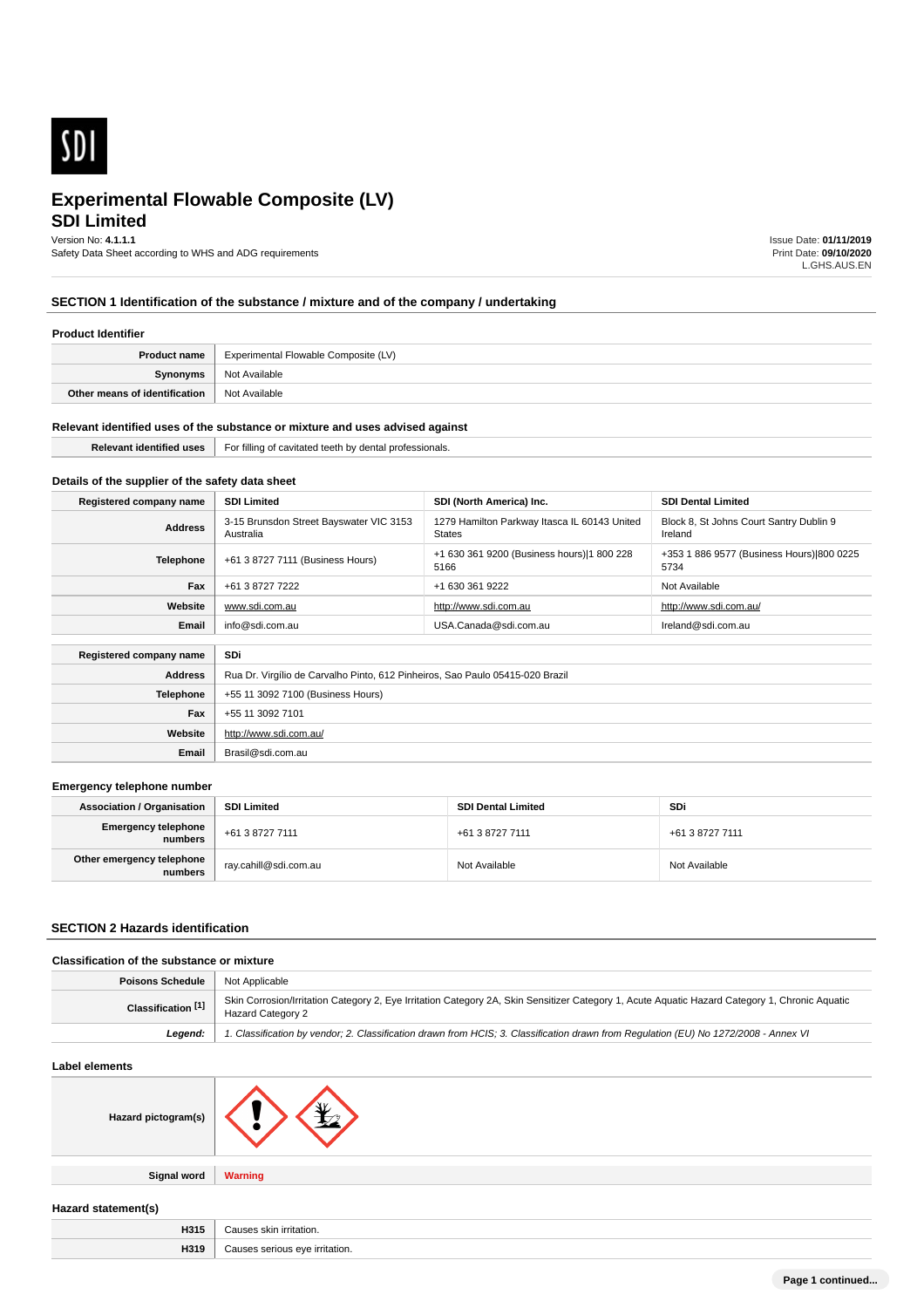

# **SDI Limited**

Version No: **4.1.1.1**

Safety Data Sheet according to WHS and ADG requirements

Issue Date: **01/11/2019** Print Date: **09/10/2020** L.GHS.AUS.EN

## **SECTION 1 Identification of the substance / mixture and of the company / undertaking**

### **Product Identifier**

| <b>Product name</b>           | Experimental Flowable Composite (LV) |  |
|-------------------------------|--------------------------------------|--|
| Synonyms                      | Not Available                        |  |
| Other means of identification | Not Available                        |  |

#### **Relevant identified uses of the substance or mixture and uses advised against**

**Email** Brasil@sdi.com.au

| ⊦oı<br>professionals.<br>uuna d<br>avirarec<br>,,,,,<br>$\overline{ }$<br>$\cdots$<br>. |  |
|-----------------------------------------------------------------------------------------|--|
|                                                                                         |  |

## **Details of the supplier of the safety data sheet**

| Registered company name        | <b>SDI Limited</b>                                                            | SDI (North America) Inc.                                      | <b>SDI Dental Limited</b>                          |
|--------------------------------|-------------------------------------------------------------------------------|---------------------------------------------------------------|----------------------------------------------------|
| <b>Address</b>                 | 3-15 Brunsdon Street Bayswater VIC 3153<br>Australia                          | 1279 Hamilton Parkway Itasca IL 60143 United<br><b>States</b> | Block 8, St Johns Court Santry Dublin 9<br>Ireland |
| Telephone                      | +61 3 8727 7111 (Business Hours)                                              | +1 630 361 9200 (Business hours) 1 800 228<br>5166            | +353 1 886 9577 (Business Hours) 800 0225<br>5734  |
| Fax                            | +61 3 8727 7222                                                               | +1 630 361 9222                                               | Not Available                                      |
| Website                        | www.sdi.com.au                                                                | http://www.sdi.com.au                                         | http://www.sdi.com.au/                             |
| info@sdi.com.au<br>Email       | USA.Canada@sdi.com.au                                                         | Ireland@sdi.com.au                                            |                                                    |
| SDi<br>Registered company name |                                                                               |                                                               |                                                    |
| <b>Address</b>                 | Rua Dr. Virgílio de Carvalho Pinto, 612 Pinheiros, Sao Paulo 05415-020 Brazil |                                                               |                                                    |
| <b>Telephone</b>               | +55 11 3092 7100 (Business Hours)                                             |                                                               |                                                    |
| Fax                            | +55 11 3092 7101                                                              |                                                               |                                                    |
| Website                        | http://www.sdi.com.au/                                                        |                                                               |                                                    |

#### **Emergency telephone number**

| <b>Association / Organisation</b>    | <b>SDI Limited</b>      |                 | SDi             |  |
|--------------------------------------|-------------------------|-----------------|-----------------|--|
| Emergency telephone<br>numbers       | +61 3 8727 7111         | +61 3 8727 7111 | +61 3 8727 7111 |  |
| Other emergency telephone<br>numbers | ` ray.cahill@sdi.com.au | Not Available   | Not Available   |  |

### **SECTION 2 Hazards identification**

### **Classification of the substance or mixture**

| Poisons Schedule              | Not Applicable                                                                                                                                                      |  |
|-------------------------------|---------------------------------------------------------------------------------------------------------------------------------------------------------------------|--|
| Classification <sup>[1]</sup> | Skin Corrosion/Irritation Category 2, Eye Irritation Category 2A, Skin Sensitizer Category 1, Acute Aquatic Hazard Category 1, Chronic Aquatic<br>Hazard Category 2 |  |
| Leaend:                       | 1. Classification by vendor; 2. Classification drawn from HCIS; 3. Classification drawn from Requlation (EU) No 1272/2008 - Annex VI                                |  |

### **Label elements**

| Hazard pictogram(s) |  |
|---------------------|--|
|                     |  |

**Signal word Warning**

## **Hazard statement(s)**

| H315 | ∵auses skin irritation.        |
|------|--------------------------------|
| H319 | Causes serious eye irritation. |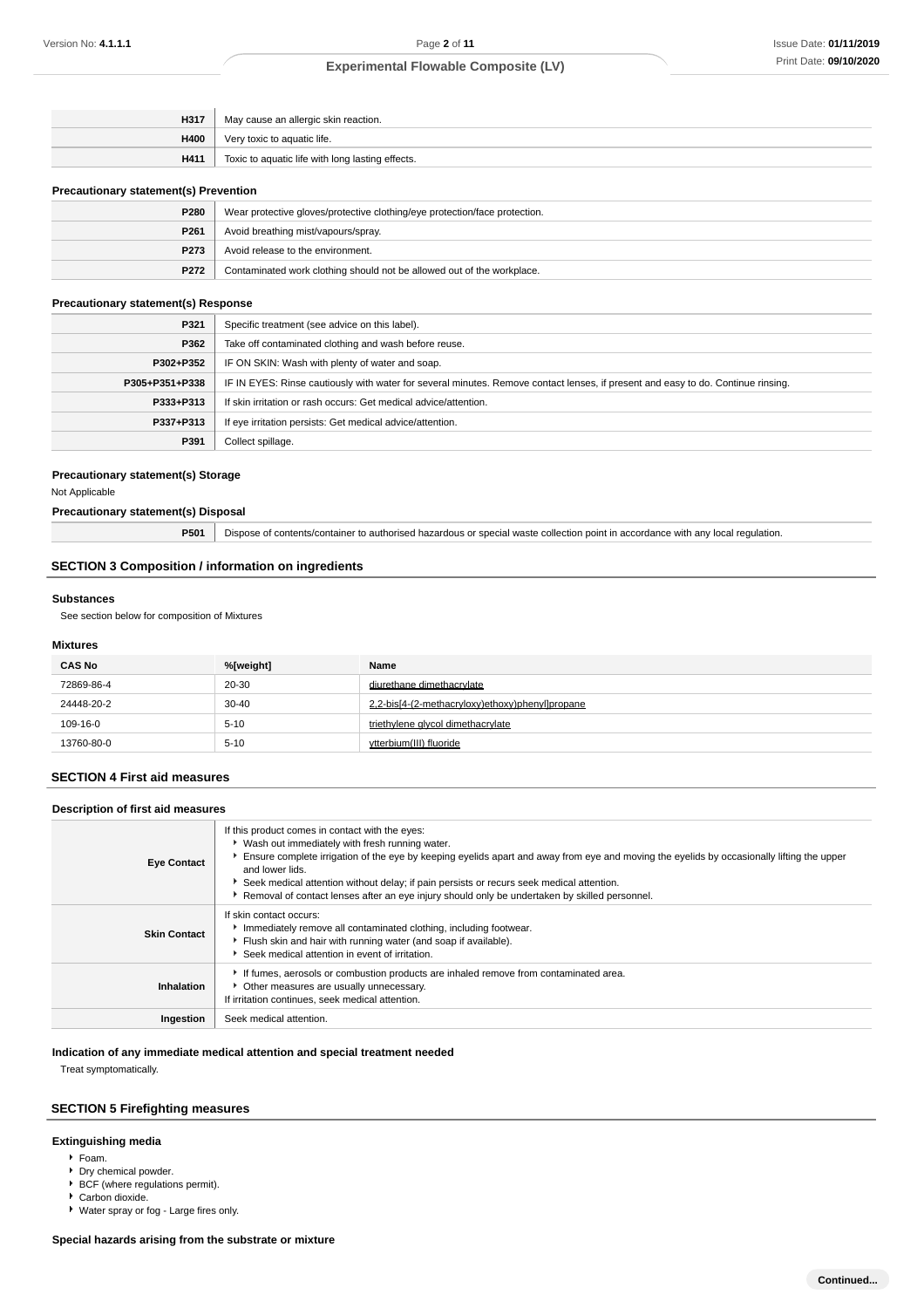| H317 | May cause an allergic skin reaction.             |  |
|------|--------------------------------------------------|--|
| H400 | Very toxic to aquatic life.                      |  |
| H411 | Toxic to aquatic life with long lasting effects. |  |

### **Precautionary statement(s) Prevention**

| P280             | Wear protective gloves/protective clothing/eye protection/face protection. |  |
|------------------|----------------------------------------------------------------------------|--|
| P <sub>261</sub> | Avoid breathing mist/vapours/spray.                                        |  |
| P273             | Avoid release to the environment.                                          |  |
| P272             | Contaminated work clothing should not be allowed out of the workplace.     |  |

### **Precautionary statement(s) Response**

| P321           | Specific treatment (see advice on this label).                                                                                   |  |
|----------------|----------------------------------------------------------------------------------------------------------------------------------|--|
| P362           | Take off contaminated clothing and wash before reuse.                                                                            |  |
| P302+P352      | IF ON SKIN: Wash with plenty of water and soap.                                                                                  |  |
| P305+P351+P338 | IF IN EYES: Rinse cautiously with water for several minutes. Remove contact lenses, if present and easy to do. Continue rinsing. |  |
| P333+P313      | If skin irritation or rash occurs: Get medical advice/attention.                                                                 |  |
| P337+P313      | If eye irritation persists: Get medical advice/attention.                                                                        |  |
| P391           | Collect spillage.                                                                                                                |  |

#### **Precautionary statement(s) Storage**

Not Applicable

## **Precautionary statement(s) Disposal**

| P501 | Dispose of contents/container to authorised hazardous or special waste collection point in accordance with any local regulation. |
|------|----------------------------------------------------------------------------------------------------------------------------------|
|------|----------------------------------------------------------------------------------------------------------------------------------|

## **SECTION 3 Composition / information on ingredients**

#### **Substances**

See section below for composition of Mixtures

### **Mixtures**

| <b>CAS No</b> | %[weight] | Name                                            |
|---------------|-----------|-------------------------------------------------|
| 72869-86-4    | 20-30     | diurethane dimethacrylate                       |
| 24448-20-2    | $30 - 40$ | 2.2-bis[4-(2-methacryloxy)ethoxy)phenyl]propane |
| 109-16-0      | $5 - 10$  | triethylene glycol dimethacrylate               |
| 13760-80-0    | $5 - 10$  | ytterbium(III) fluoride                         |

## **SECTION 4 First aid measures**

## **Description of first aid measures**

| <b>Eye Contact</b>  | If this product comes in contact with the eyes:<br>▶ Wash out immediately with fresh running water.<br>Ensure complete irrigation of the eye by keeping eyelids apart and away from eye and moving the eyelids by occasionally lifting the upper<br>and lower lids.<br>Seek medical attention without delay; if pain persists or recurs seek medical attention.<br>Removal of contact lenses after an eye injury should only be undertaken by skilled personnel. |
|---------------------|------------------------------------------------------------------------------------------------------------------------------------------------------------------------------------------------------------------------------------------------------------------------------------------------------------------------------------------------------------------------------------------------------------------------------------------------------------------|
| <b>Skin Contact</b> | If skin contact occurs:<br>Immediately remove all contaminated clothing, including footwear.<br>Flush skin and hair with running water (and soap if available).<br>Seek medical attention in event of irritation.                                                                                                                                                                                                                                                |
| Inhalation          | If fumes, aerosols or combustion products are inhaled remove from contaminated area.<br>• Other measures are usually unnecessary.<br>If irritation continues, seek medical attention.                                                                                                                                                                                                                                                                            |
| Ingestion           | Seek medical attention.                                                                                                                                                                                                                                                                                                                                                                                                                                          |

## **Indication of any immediate medical attention and special treatment needed**

Treat symptomatically.

## **SECTION 5 Firefighting measures**

#### **Extinguishing media**

- Foam.
- **Dry chemical powder.**
- **BCF** (where regulations permit).
- Carbon dioxide.
- Water spray or fog Large fires only.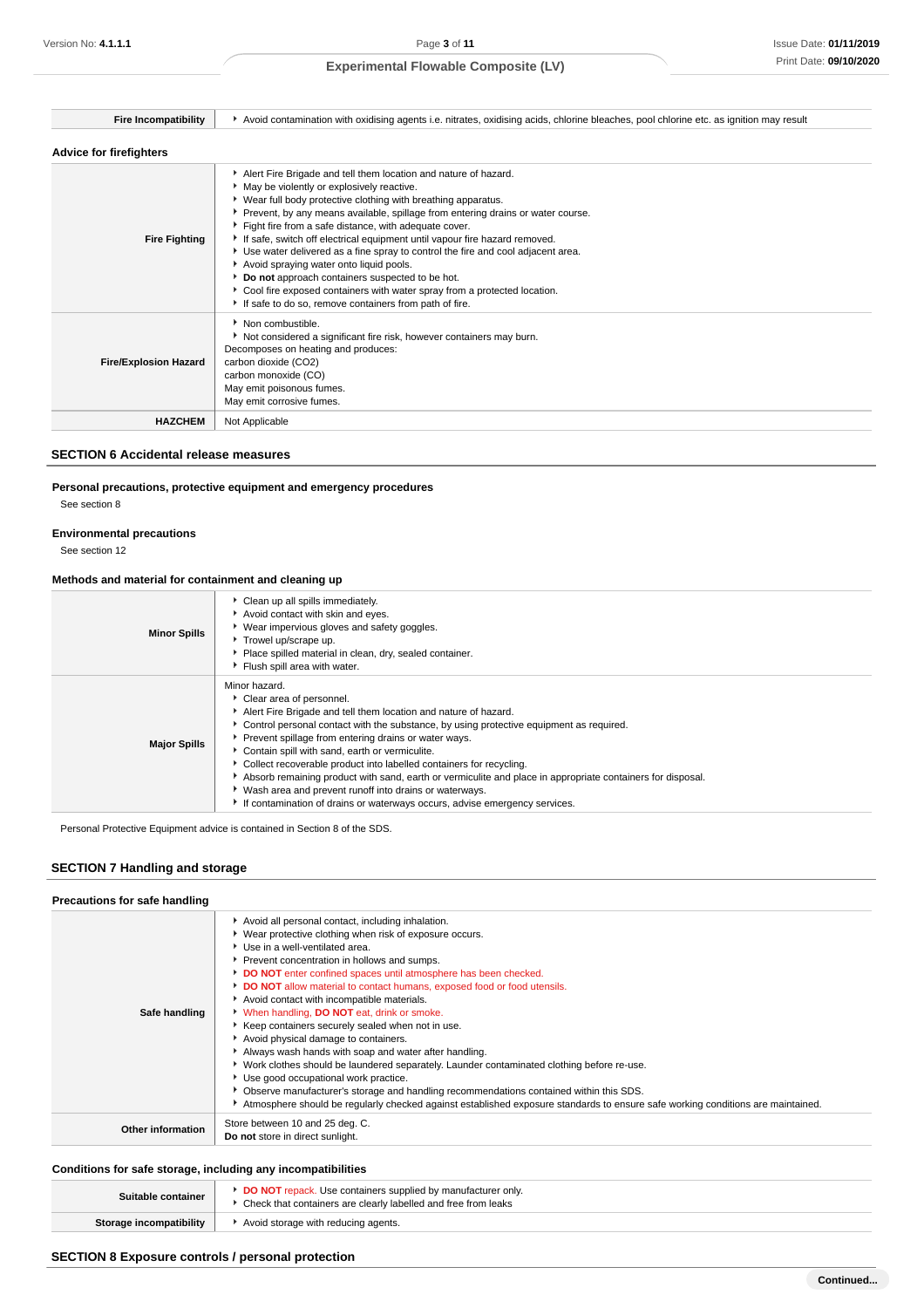| <b>Fire Incompatibility</b>    | Avoid contamination with oxidising agents i.e. nitrates, oxidising acids, chlorine bleaches, pool chlorine etc. as ignition may result                                                                                                                                                                                                                                                                                                                                                                                                                                                                                                                                                                                          |
|--------------------------------|---------------------------------------------------------------------------------------------------------------------------------------------------------------------------------------------------------------------------------------------------------------------------------------------------------------------------------------------------------------------------------------------------------------------------------------------------------------------------------------------------------------------------------------------------------------------------------------------------------------------------------------------------------------------------------------------------------------------------------|
| <b>Advice for firefighters</b> |                                                                                                                                                                                                                                                                                                                                                                                                                                                                                                                                                                                                                                                                                                                                 |
| <b>Fire Fighting</b>           | Alert Fire Brigade and tell them location and nature of hazard.<br>May be violently or explosively reactive.<br>▶ Wear full body protective clothing with breathing apparatus.<br>Prevent, by any means available, spillage from entering drains or water course.<br>Fight fire from a safe distance, with adequate cover.<br>If safe, switch off electrical equipment until vapour fire hazard removed.<br>Use water delivered as a fine spray to control the fire and cool adjacent area.<br>Avoid spraying water onto liquid pools.<br>Do not approach containers suspected to be hot.<br>Cool fire exposed containers with water spray from a protected location.<br>If safe to do so, remove containers from path of fire. |
| <b>Fire/Explosion Hazard</b>   | Non combustible.<br>Not considered a significant fire risk, however containers may burn.<br>Decomposes on heating and produces:<br>carbon dioxide (CO2)<br>carbon monoxide (CO)<br>May emit poisonous fumes.<br>May emit corrosive fumes.                                                                                                                                                                                                                                                                                                                                                                                                                                                                                       |
| <b>HAZCHEM</b>                 | Not Applicable                                                                                                                                                                                                                                                                                                                                                                                                                                                                                                                                                                                                                                                                                                                  |

### **SECTION 6 Accidental release measures**

## **Personal precautions, protective equipment and emergency procedures**

See section 8

## **Environmental precautions**

See section 12

## **Methods and material for containment and cleaning up**

| <b>Minor Spills</b> | Clean up all spills immediately.<br>Avoid contact with skin and eyes.<br>Wear impervious gloves and safety goggles.<br>Trowel up/scrape up.<br>Place spilled material in clean, dry, sealed container.<br>Flush spill area with water.                                                                                                                                                                                                                                                                                                                                                                                                             |
|---------------------|----------------------------------------------------------------------------------------------------------------------------------------------------------------------------------------------------------------------------------------------------------------------------------------------------------------------------------------------------------------------------------------------------------------------------------------------------------------------------------------------------------------------------------------------------------------------------------------------------------------------------------------------------|
| <b>Major Spills</b> | Minor hazard.<br>Clear area of personnel.<br>Alert Fire Brigade and tell them location and nature of hazard.<br>► Control personal contact with the substance, by using protective equipment as required.<br>Prevent spillage from entering drains or water ways.<br>Contain spill with sand, earth or vermiculite.<br>Collect recoverable product into labelled containers for recycling.<br>Absorb remaining product with sand, earth or vermiculite and place in appropriate containers for disposal.<br>V Wash area and prevent runoff into drains or waterways.<br>If contamination of drains or waterways occurs, advise emergency services. |

Personal Protective Equipment advice is contained in Section 8 of the SDS.

## **SECTION 7 Handling and storage**

### **Precautions for safe handling**

| Avoid all personal contact, including inhalation.<br>▶ Wear protective clothing when risk of exposure occurs.<br>▶ Use in a well-ventilated area.<br>Prevent concentration in hollows and sumps.<br>DO NOT enter confined spaces until atmosphere has been checked.<br>DO NOT allow material to contact humans, exposed food or food utensils.<br>Avoid contact with incompatible materials.<br><b>When handling, DO NOT eat, drink or smoke.</b><br>▶ Keep containers securely sealed when not in use.<br>Avoid physical damage to containers.<br>Always wash hands with soap and water after handling.<br>▶ Work clothes should be laundered separately. Launder contaminated clothing before re-use.<br>Use good occupational work practice.<br>▶ Observe manufacturer's storage and handling recommendations contained within this SDS.<br>Atmosphere should be regularly checked against established exposure standards to ensure safe working conditions are maintained. |
|--------------------------------------------------------------------------------------------------------------------------------------------------------------------------------------------------------------------------------------------------------------------------------------------------------------------------------------------------------------------------------------------------------------------------------------------------------------------------------------------------------------------------------------------------------------------------------------------------------------------------------------------------------------------------------------------------------------------------------------------------------------------------------------------------------------------------------------------------------------------------------------------------------------------------------------------------------------------------------|
| Store between 10 and 25 deg. C.<br>Do not store in direct sunlight.                                                                                                                                                                                                                                                                                                                                                                                                                                                                                                                                                                                                                                                                                                                                                                                                                                                                                                            |
|                                                                                                                                                                                                                                                                                                                                                                                                                                                                                                                                                                                                                                                                                                                                                                                                                                                                                                                                                                                |

## **Conditions for safe storage, including any incompatibilities**

| Suitable container      | <b>DO NOT</b> repack. Use containers supplied by manufacturer only.<br>Check that containers are clearly labelled and free from leaks |  |
|-------------------------|---------------------------------------------------------------------------------------------------------------------------------------|--|
| Storage incompatibility | Avoid storage with reducing agents.                                                                                                   |  |

## **SECTION 8 Exposure controls / personal protection**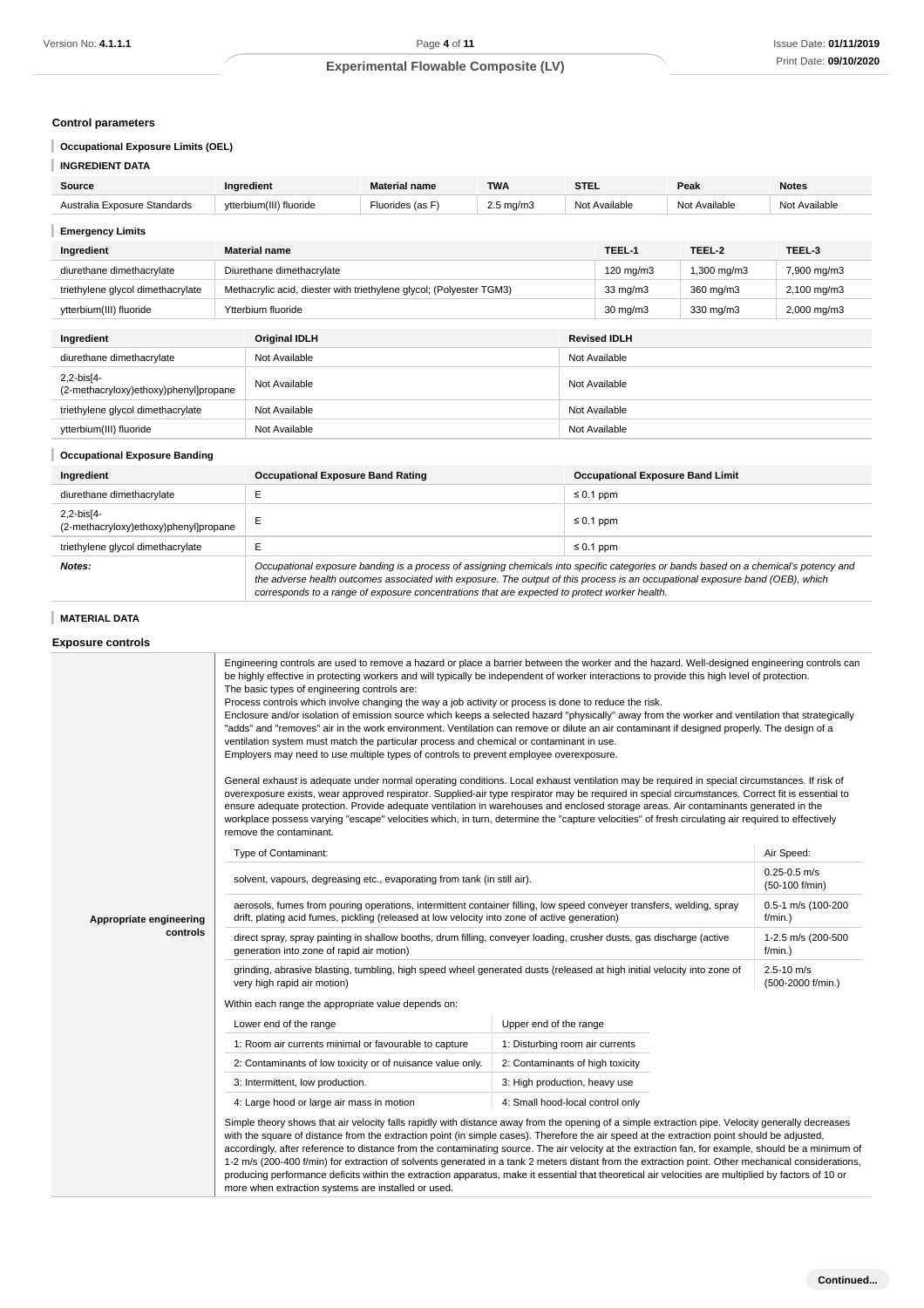### **Control parameters**

## **Occupational Exposure Limits (OEL)**

| <b>INGREDIENT DATA</b> |
|------------------------|
|------------------------|

| Source                                                    | Ingredient                                                          | <b>Material name</b>                     | <b>TWA</b>    | <b>STEL</b>   |                   | Peak          | <b>Notes</b>            |
|-----------------------------------------------------------|---------------------------------------------------------------------|------------------------------------------|---------------|---------------|-------------------|---------------|-------------------------|
| Australia Exposure Standards                              | ytterbium(III) fluoride                                             | Fluorides (as F)<br>$2.5 \text{ mg/m}$ 3 |               |               | Not Available     | Not Available | Not Available           |
| <b>Emergency Limits</b>                                   |                                                                     |                                          |               |               |                   |               |                         |
| Ingredient                                                | <b>Material name</b>                                                |                                          |               |               | TEEL-1            | TEEL-2        | TEEL-3                  |
| diurethane dimethacrylate                                 |                                                                     | Diurethane dimethacrylate                |               |               | 120 mg/m3         | 1,300 mg/m3   | 7,900 mg/m3             |
| triethylene glycol dimethacrylate                         | Methacrylic acid, diester with triethylene glycol; (Polyester TGM3) |                                          |               |               | $33 \text{ mg/m}$ | 360 mg/m3     | $2,100$ mg/m $3$        |
| ytterbium(III) fluoride                                   | Ytterbium fluoride                                                  |                                          |               |               | $30 \text{ mg/m}$ | 330 mg/m3     | $2,000 \,\mathrm{mg/m}$ |
| <b>Original IDLH</b><br>Ingredient<br><b>Revised IDLH</b> |                                                                     |                                          |               |               |                   |               |                         |
| diurethane dimethacrylate                                 | Not Available                                                       |                                          | Not Available |               |                   |               |                         |
| 2,2-bis[4-<br>(2-methacryloxy)ethoxy)phenyl]propane       | Not Available                                                       |                                          |               | Not Available |                   |               |                         |

#### I **Occupational Exposure Banding**

| Ingredient                                          | <b>Occupational Exposure Band Rating</b>                                                                                                                                                                                                                                                                                                                                 | <b>Occupational Exposure Band Limit</b> |  |
|-----------------------------------------------------|--------------------------------------------------------------------------------------------------------------------------------------------------------------------------------------------------------------------------------------------------------------------------------------------------------------------------------------------------------------------------|-----------------------------------------|--|
| diurethane dimethacrylate                           |                                                                                                                                                                                                                                                                                                                                                                          | $\leq 0.1$ ppm                          |  |
| 2,2-bis[4-<br>(2-methacryloxy)ethoxy)phenyl]propane | E                                                                                                                                                                                                                                                                                                                                                                        | $\leq 0.1$ ppm                          |  |
| triethylene glycol dimethacrylate                   |                                                                                                                                                                                                                                                                                                                                                                          | $\leq 0.1$ ppm                          |  |
| Notes:                                              | Occupational exposure banding is a process of assigning chemicals into specific categories or bands based on a chemical's potency and<br>the adverse health outcomes associated with exposure. The output of this process is an occupational exposure band (OEB), which<br>corresponds to a range of exposure concentrations that are expected to protect worker health. |                                         |  |

triethylene glycol dimethacrylate Not Available Not Available Not Available Not Available ytterbium(III) fluoride Not Available Not Available Not Available Not Available

## **MATERIAL DATA**

### **Exposure controls**

|                         | Engineering controls are used to remove a hazard or place a barrier between the worker and the hazard. Well-designed engineering controls can<br>be highly effective in protecting workers and will typically be independent of worker interactions to provide this high level of protection.<br>The basic types of engineering controls are:<br>Process controls which involve changing the way a job activity or process is done to reduce the risk.<br>Enclosure and/or isolation of emission source which keeps a selected hazard "physically" away from the worker and ventilation that strategically<br>"adds" and "removes" air in the work environment. Ventilation can remove or dilute an air contaminant if designed properly. The design of a<br>ventilation system must match the particular process and chemical or contaminant in use.<br>Employers may need to use multiple types of controls to prevent employee overexposure.<br>General exhaust is adequate under normal operating conditions. Local exhaust ventilation may be required in special circumstances. If risk of<br>overexposure exists, wear approved respirator. Supplied-air type respirator may be required in special circumstances. Correct fit is essential to<br>ensure adequate protection. Provide adequate ventilation in warehouses and enclosed storage areas. Air contaminants generated in the<br>workplace possess varying "escape" velocities which, in turn, determine the "capture velocities" of fresh circulating air required to effectively<br>remove the contaminant. |                                    |            |  |  |
|-------------------------|-------------------------------------------------------------------------------------------------------------------------------------------------------------------------------------------------------------------------------------------------------------------------------------------------------------------------------------------------------------------------------------------------------------------------------------------------------------------------------------------------------------------------------------------------------------------------------------------------------------------------------------------------------------------------------------------------------------------------------------------------------------------------------------------------------------------------------------------------------------------------------------------------------------------------------------------------------------------------------------------------------------------------------------------------------------------------------------------------------------------------------------------------------------------------------------------------------------------------------------------------------------------------------------------------------------------------------------------------------------------------------------------------------------------------------------------------------------------------------------------------------------------------------------------------------------------------------|------------------------------------|------------|--|--|
|                         | Type of Contaminant:                                                                                                                                                                                                                                                                                                                                                                                                                                                                                                                                                                                                                                                                                                                                                                                                                                                                                                                                                                                                                                                                                                                                                                                                                                                                                                                                                                                                                                                                                                                                                          |                                    | Air Speed: |  |  |
|                         | solvent, vapours, degreasing etc., evaporating from tank (in still air).                                                                                                                                                                                                                                                                                                                                                                                                                                                                                                                                                                                                                                                                                                                                                                                                                                                                                                                                                                                                                                                                                                                                                                                                                                                                                                                                                                                                                                                                                                      | $0.25 - 0.5$ m/s<br>(50-100 f/min) |            |  |  |
| Appropriate engineering | aerosols, fumes from pouring operations, intermittent container filling, low speed conveyer transfers, welding, spray<br>drift, plating acid fumes, pickling (released at low velocity into zone of active generation)                                                                                                                                                                                                                                                                                                                                                                                                                                                                                                                                                                                                                                                                                                                                                                                                                                                                                                                                                                                                                                                                                                                                                                                                                                                                                                                                                        | 0.5-1 m/s (100-200<br>$f/min.$ )   |            |  |  |
| controls                | direct spray, spray painting in shallow booths, drum filling, conveyer loading, crusher dusts, gas discharge (active<br>1-2.5 m/s (200-500<br>generation into zone of rapid air motion)<br>$f/min.$ )                                                                                                                                                                                                                                                                                                                                                                                                                                                                                                                                                                                                                                                                                                                                                                                                                                                                                                                                                                                                                                                                                                                                                                                                                                                                                                                                                                         |                                    |            |  |  |
|                         | grinding, abrasive blasting, tumbling, high speed wheel generated dusts (released at high initial velocity into zone of<br>very high rapid air motion)                                                                                                                                                                                                                                                                                                                                                                                                                                                                                                                                                                                                                                                                                                                                                                                                                                                                                                                                                                                                                                                                                                                                                                                                                                                                                                                                                                                                                        | 2.5-10 m/s<br>(500-2000 f/min.)    |            |  |  |
|                         | Within each range the appropriate value depends on:                                                                                                                                                                                                                                                                                                                                                                                                                                                                                                                                                                                                                                                                                                                                                                                                                                                                                                                                                                                                                                                                                                                                                                                                                                                                                                                                                                                                                                                                                                                           |                                    |            |  |  |
|                         | Lower end of the range                                                                                                                                                                                                                                                                                                                                                                                                                                                                                                                                                                                                                                                                                                                                                                                                                                                                                                                                                                                                                                                                                                                                                                                                                                                                                                                                                                                                                                                                                                                                                        | Upper end of the range             |            |  |  |
|                         | 1: Room air currents minimal or favourable to capture                                                                                                                                                                                                                                                                                                                                                                                                                                                                                                                                                                                                                                                                                                                                                                                                                                                                                                                                                                                                                                                                                                                                                                                                                                                                                                                                                                                                                                                                                                                         | 1: Disturbing room air currents    |            |  |  |
|                         | 2: Contaminants of low toxicity or of nuisance value only.                                                                                                                                                                                                                                                                                                                                                                                                                                                                                                                                                                                                                                                                                                                                                                                                                                                                                                                                                                                                                                                                                                                                                                                                                                                                                                                                                                                                                                                                                                                    | 2: Contaminants of high toxicity   |            |  |  |
|                         | 3: Intermittent, low production.                                                                                                                                                                                                                                                                                                                                                                                                                                                                                                                                                                                                                                                                                                                                                                                                                                                                                                                                                                                                                                                                                                                                                                                                                                                                                                                                                                                                                                                                                                                                              | 3: High production, heavy use      |            |  |  |
|                         | 4: Large hood or large air mass in motion                                                                                                                                                                                                                                                                                                                                                                                                                                                                                                                                                                                                                                                                                                                                                                                                                                                                                                                                                                                                                                                                                                                                                                                                                                                                                                                                                                                                                                                                                                                                     | 4: Small hood-local control only   |            |  |  |
|                         | Simple theory shows that air velocity falls rapidly with distance away from the opening of a simple extraction pipe. Velocity generally decreases<br>with the square of distance from the extraction point (in simple cases). Therefore the air speed at the extraction point should be adjusted,<br>accordingly, after reference to distance from the contaminating source. The air velocity at the extraction fan, for example, should be a minimum of<br>1-2 m/s (200-400 f/min) for extraction of solvents generated in a tank 2 meters distant from the extraction point. Other mechanical considerations,<br>producing performance deficits within the extraction apparatus, make it essential that theoretical air velocities are multiplied by factors of 10 or<br>more when extraction systems are installed or used.                                                                                                                                                                                                                                                                                                                                                                                                                                                                                                                                                                                                                                                                                                                                                |                                    |            |  |  |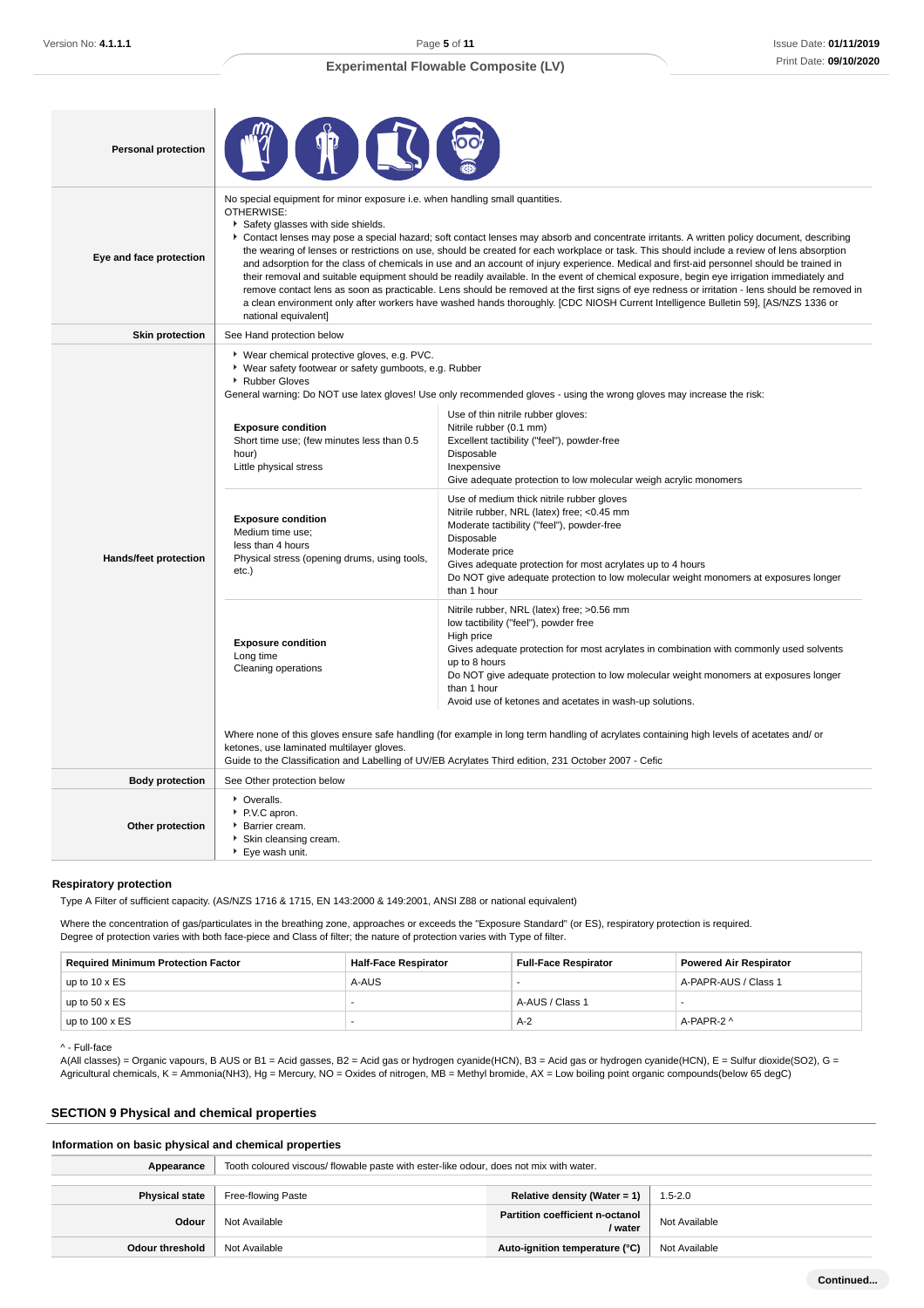## Issue Date: **01/11/2019** Print Date: **09/10/2020**

| <b>Personal protection</b> |                                                                                                                                                                                                                                                                                                                                                                                                                                                                                                                                                                                                                                                                                                                                                                                                                                                                                                                                                                                                                                        |                                                                                                                                                                                                                                                                                                                                                                                                                                                                                                                                                                                                                                                                                                                                                                                                                                                                                                                                                                                                                                                                                                                                                                                                                                                                                                                             |  |  |
|----------------------------|----------------------------------------------------------------------------------------------------------------------------------------------------------------------------------------------------------------------------------------------------------------------------------------------------------------------------------------------------------------------------------------------------------------------------------------------------------------------------------------------------------------------------------------------------------------------------------------------------------------------------------------------------------------------------------------------------------------------------------------------------------------------------------------------------------------------------------------------------------------------------------------------------------------------------------------------------------------------------------------------------------------------------------------|-----------------------------------------------------------------------------------------------------------------------------------------------------------------------------------------------------------------------------------------------------------------------------------------------------------------------------------------------------------------------------------------------------------------------------------------------------------------------------------------------------------------------------------------------------------------------------------------------------------------------------------------------------------------------------------------------------------------------------------------------------------------------------------------------------------------------------------------------------------------------------------------------------------------------------------------------------------------------------------------------------------------------------------------------------------------------------------------------------------------------------------------------------------------------------------------------------------------------------------------------------------------------------------------------------------------------------|--|--|
| Eye and face protection    | No special equipment for minor exposure i.e. when handling small quantities.<br>OTHERWISE:<br>Safety glasses with side shields.<br>Contact lenses may pose a special hazard; soft contact lenses may absorb and concentrate irritants. A written policy document, describing<br>the wearing of lenses or restrictions on use, should be created for each workplace or task. This should include a review of lens absorption<br>and adsorption for the class of chemicals in use and an account of injury experience. Medical and first-aid personnel should be trained in<br>their removal and suitable equipment should be readily available. In the event of chemical exposure, begin eye irrigation immediately and<br>remove contact lens as soon as practicable. Lens should be removed at the first signs of eye redness or irritation - lens should be removed in<br>a clean environment only after workers have washed hands thoroughly. [CDC NIOSH Current Intelligence Bulletin 59], [AS/NZS 1336 or<br>national equivalent] |                                                                                                                                                                                                                                                                                                                                                                                                                                                                                                                                                                                                                                                                                                                                                                                                                                                                                                                                                                                                                                                                                                                                                                                                                                                                                                                             |  |  |
| <b>Skin protection</b>     | See Hand protection below                                                                                                                                                                                                                                                                                                                                                                                                                                                                                                                                                                                                                                                                                                                                                                                                                                                                                                                                                                                                              |                                                                                                                                                                                                                                                                                                                                                                                                                                                                                                                                                                                                                                                                                                                                                                                                                                                                                                                                                                                                                                                                                                                                                                                                                                                                                                                             |  |  |
| Hands/feet protection      | ▶ Wear chemical protective gloves, e.g. PVC.<br>▶ Wear safety footwear or safety gumboots, e.g. Rubber<br>▶ Rubber Gloves<br><b>Exposure condition</b><br>Short time use; (few minutes less than 0.5<br>hour)<br>Little physical stress<br><b>Exposure condition</b><br>Medium time use;<br>less than 4 hours<br>Physical stress (opening drums, using tools,<br>etc.)<br><b>Exposure condition</b><br>Long time<br>Cleaning operations<br>ketones, use laminated multilayer gloves.                                                                                                                                                                                                                                                                                                                                                                                                                                                                                                                                                   | General warning: Do NOT use latex gloves! Use only recommended gloves - using the wrong gloves may increase the risk:<br>Use of thin nitrile rubber gloves:<br>Nitrile rubber (0.1 mm)<br>Excellent tactibility ("feel"), powder-free<br>Disposable<br>Inexpensive<br>Give adequate protection to low molecular weigh acrylic monomers<br>Use of medium thick nitrile rubber gloves<br>Nitrile rubber, NRL (latex) free; <0.45 mm<br>Moderate tactibility ("feel"), powder-free<br>Disposable<br>Moderate price<br>Gives adequate protection for most acrylates up to 4 hours<br>Do NOT give adequate protection to low molecular weight monomers at exposures longer<br>than 1 hour<br>Nitrile rubber, NRL (latex) free; >0.56 mm<br>low tactibility ("feel"), powder free<br>High price<br>Gives adequate protection for most acrylates in combination with commonly used solvents<br>up to 8 hours<br>Do NOT give adequate protection to low molecular weight monomers at exposures longer<br>than 1 hour<br>Avoid use of ketones and acetates in wash-up solutions.<br>Where none of this gloves ensure safe handling (for example in long term handling of acrylates containing high levels of acetates and/or<br>Guide to the Classification and Labelling of UV/EB Acrylates Third edition, 231 October 2007 - Cefic |  |  |
| <b>Body protection</b>     | See Other protection below                                                                                                                                                                                                                                                                                                                                                                                                                                                                                                                                                                                                                                                                                                                                                                                                                                                                                                                                                                                                             |                                                                                                                                                                                                                                                                                                                                                                                                                                                                                                                                                                                                                                                                                                                                                                                                                                                                                                                                                                                                                                                                                                                                                                                                                                                                                                                             |  |  |
| Other protection           | • Overalls.<br>P.V.C apron.<br>Barrier cream.<br>Skin cleansing cream.<br>Eye wash unit.                                                                                                                                                                                                                                                                                                                                                                                                                                                                                                                                                                                                                                                                                                                                                                                                                                                                                                                                               |                                                                                                                                                                                                                                                                                                                                                                                                                                                                                                                                                                                                                                                                                                                                                                                                                                                                                                                                                                                                                                                                                                                                                                                                                                                                                                                             |  |  |

### **Respiratory protection**

Type A Filter of sufficient capacity. (AS/NZS 1716 & 1715, EN 143:2000 & 149:2001, ANSI Z88 or national equivalent)

Where the concentration of gas/particulates in the breathing zone, approaches or exceeds the "Exposure Standard" (or ES), respiratory protection is required. Degree of protection varies with both face-piece and Class of filter; the nature of protection varies with Type of filter.

| <b>Required Minimum Protection Factor</b> | Half-Face Respirator | <b>Full-Face Respirator</b> | <b>Powered Air Respirator</b> |  |
|-------------------------------------------|----------------------|-----------------------------|-------------------------------|--|
| up to $10 \times ES$                      | A-AUS                |                             | A-PAPR-AUS / Class 1          |  |
| up to $50 \times ES$                      |                      | A-AUS / Class 1             |                               |  |
| up to $100 \times ES$                     |                      | A-2                         | A-PAPR-2 ^                    |  |

### ^ - Full-face

A(All classes) = Organic vapours, B AUS or B1 = Acid gasses, B2 = Acid gas or hydrogen cyanide(HCN), B3 = Acid gas or hydrogen cyanide(HCN), E = Sulfur dioxide(SO2), G = Agricultural chemicals, K = Ammonia(NH3), Hg = Mercury, NO = Oxides of nitrogen, MB = Methyl bromide, AX = Low boiling point organic compounds(below 65 degC)

## **SECTION 9 Physical and chemical properties**

### **Information on basic physical and chemical properties**

| Appearance            | Tooth coloured viscous/ flowable paste with ester-like odour, does not mix with water. |                                            |               |  |  |
|-----------------------|----------------------------------------------------------------------------------------|--------------------------------------------|---------------|--|--|
| <b>Physical state</b> | Relative density (Water = 1)<br>Free-flowing Paste<br>$1.5 - 2.0$                      |                                            |               |  |  |
| Odour                 | Not Available                                                                          | Partition coefficient n-octanol<br>/ water | Not Available |  |  |
| Odour threshold       | Not Available                                                                          | Auto-ignition temperature (°C)             | Not Available |  |  |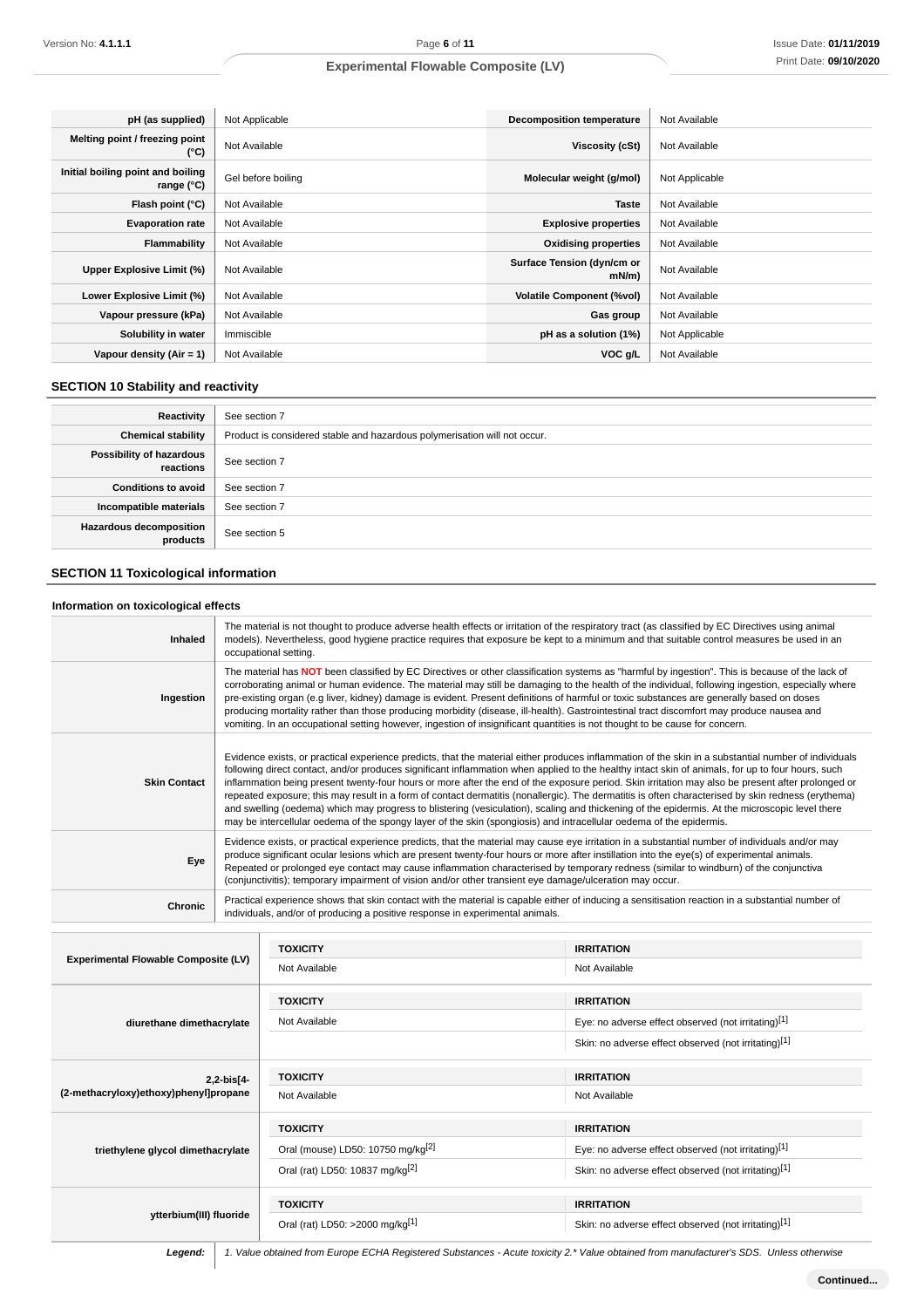| pH (as supplied)                                | Not Applicable     | <b>Decomposition temperature</b>       | Not Available  |
|-------------------------------------------------|--------------------|----------------------------------------|----------------|
| Melting point / freezing point<br>(°C)          | Not Available      | Viscosity (cSt)                        | Not Available  |
| Initial boiling point and boiling<br>range (°C) | Gel before boiling | Molecular weight (g/mol)               | Not Applicable |
| Flash point (°C)                                | Not Available      | <b>Taste</b>                           | Not Available  |
| <b>Evaporation rate</b>                         | Not Available      | <b>Explosive properties</b>            | Not Available  |
| Flammability                                    | Not Available      | <b>Oxidising properties</b>            | Not Available  |
| Upper Explosive Limit (%)                       | Not Available      | Surface Tension (dyn/cm or<br>$mN/m$ ) | Not Available  |
| Lower Explosive Limit (%)                       | Not Available      | <b>Volatile Component (%vol)</b>       | Not Available  |
| Vapour pressure (kPa)                           | Not Available      | Gas group                              | Not Available  |
| Solubility in water                             | Immiscible         | pH as a solution (1%)                  | Not Applicable |
| Vapour density $(Air = 1)$                      | Not Available      | VOC g/L                                | Not Available  |

## **SECTION 10 Stability and reactivity**

| Reactivity                                 | See section 7                                                             |
|--------------------------------------------|---------------------------------------------------------------------------|
| <b>Chemical stability</b>                  | Product is considered stable and hazardous polymerisation will not occur. |
| Possibility of hazardous<br>reactions      | See section 7                                                             |
| <b>Conditions to avoid</b>                 | See section 7                                                             |
| Incompatible materials                     | See section 7                                                             |
| <b>Hazardous decomposition</b><br>products | See section 5                                                             |

## **SECTION 11 Toxicological information**

### **Information on toxicological effects**

| <b>Inhaled</b>      | The material is not thought to produce adverse health effects or irritation of the respiratory tract (as classified by EC Directives using animal<br>models). Nevertheless, good hygiene practice requires that exposure be kept to a minimum and that suitable control measures be used in an<br>occupational setting.                                                                                                                                                                                                                                                                                                                                                                                                                                                                                                                                                                       |
|---------------------|-----------------------------------------------------------------------------------------------------------------------------------------------------------------------------------------------------------------------------------------------------------------------------------------------------------------------------------------------------------------------------------------------------------------------------------------------------------------------------------------------------------------------------------------------------------------------------------------------------------------------------------------------------------------------------------------------------------------------------------------------------------------------------------------------------------------------------------------------------------------------------------------------|
| Ingestion           | The material has NOT been classified by EC Directives or other classification systems as "harmful by ingestion". This is because of the lack of<br>corroborating animal or human evidence. The material may still be damaging to the health of the individual, following ingestion, especially where<br>pre-existing organ (e.g liver, kidney) damage is evident. Present definitions of harmful or toxic substances are generally based on doses<br>producing mortality rather than those producing morbidity (disease, ill-health). Gastrointestinal tract discomfort may produce nausea and<br>vomiting. In an occupational setting however, ingestion of insignificant quantities is not thought to be cause for concern.                                                                                                                                                                 |
| <b>Skin Contact</b> | Evidence exists, or practical experience predicts, that the material either produces inflammation of the skin in a substantial number of individuals<br>following direct contact, and/or produces significant inflammation when applied to the healthy intact skin of animals, for up to four hours, such<br>inflammation being present twenty-four hours or more after the end of the exposure period. Skin irritation may also be present after prolonged or<br>repeated exposure; this may result in a form of contact dermatitis (nonallergic). The dermatitis is often characterised by skin redness (erythema)<br>and swelling (oedema) which may progress to blistering (vesiculation), scaling and thickening of the epidermis. At the microscopic level there<br>may be intercellular oedema of the spongy layer of the skin (spongiosis) and intracellular oedema of the epidermis. |
| Eye                 | Evidence exists, or practical experience predicts, that the material may cause eye irritation in a substantial number of individuals and/or may<br>produce significant ocular lesions which are present twenty-four hours or more after instillation into the eye(s) of experimental animals.<br>Repeated or prolonged eye contact may cause inflammation characterised by temporary redness (similar to windburn) of the conjunctiva<br>(conjunctivitis); temporary impairment of vision and/or other transient eye damage/ulceration may occur.                                                                                                                                                                                                                                                                                                                                             |
| Chronic             | Practical experience shows that skin contact with the material is capable either of inducing a sensitisation reaction in a substantial number of<br>individuals, and/or of producing a positive response in experimental animals.                                                                                                                                                                                                                                                                                                                                                                                                                                                                                                                                                                                                                                                             |

| <b>Experimental Flowable Composite (LV)</b>         | <b>TOXICITY</b>                               | <b>IRRITATION</b>                                    |
|-----------------------------------------------------|-----------------------------------------------|------------------------------------------------------|
|                                                     | Not Available                                 | Not Available                                        |
| diurethane dimethacrylate                           | <b>TOXICITY</b>                               | <b>IRRITATION</b>                                    |
|                                                     | Not Available                                 | Eye: no adverse effect observed (not irritating)[1]  |
|                                                     |                                               | Skin: no adverse effect observed (not irritating)[1] |
| 2,2-bis[4-<br>(2-methacryloxy)ethoxy)phenyl]propane | <b>TOXICITY</b>                               | <b>IRRITATION</b>                                    |
|                                                     | Not Available                                 | Not Available                                        |
| triethylene glycol dimethacrylate                   | <b>TOXICITY</b>                               | <b>IRRITATION</b>                                    |
|                                                     | Oral (mouse) LD50: 10750 mg/kg <sup>[2]</sup> | Eye: no adverse effect observed (not irritating)[1]  |
|                                                     | Oral (rat) LD50: 10837 mg/kg <sup>[2]</sup>   | Skin: no adverse effect observed (not irritating)[1] |
| ytterbium(III) fluoride                             | <b>TOXICITY</b>                               | <b>IRRITATION</b>                                    |
|                                                     | Oral (rat) LD50: >2000 mg/kg[1]               | Skin: no adverse effect observed (not irritating)[1] |

Legend: 1. Value obtained from Europe ECHA Registered Substances - Acute toxicity 2.\* Value obtained from manufacturer's SDS. Unless otherwise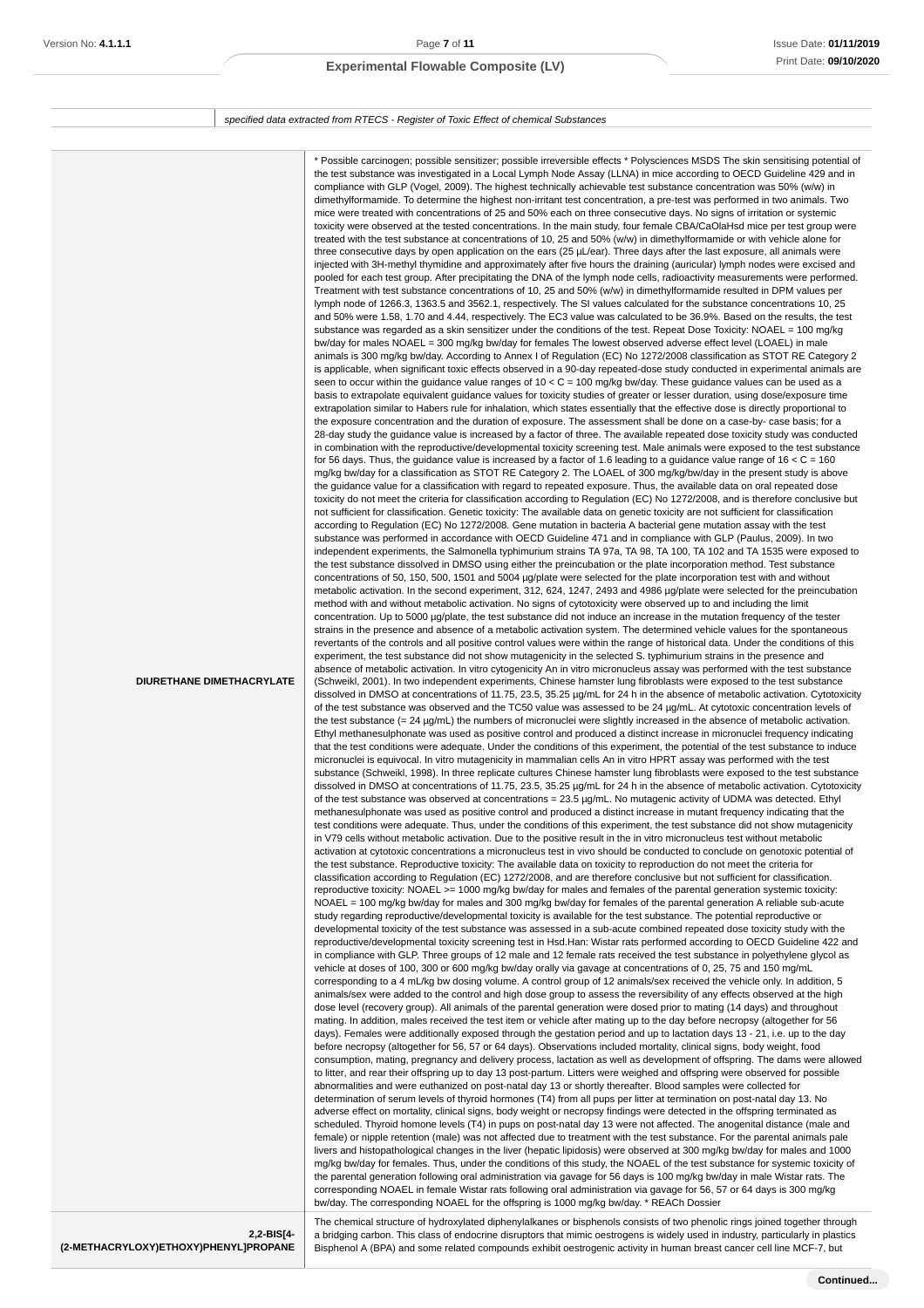**(2-METHACRYLOXY)ETHOXY)PHENYL]PROPANE**

## **Experimental Flowable Composite (LV)**

specified data extracted from RTECS - Register of Toxic Effect of chemical Substances

| DIURETHANE DIMETHACRYLATE | * Possible carcinogen; possible sensitizer; possible irreversible effects * Polysciences MSDS The skin sensitising potential of<br>the test substance was investigated in a Local Lymph Node Assay (LLNA) in mice according to OECD Guideline 429 and in<br>compliance with GLP (Vogel, 2009). The highest technically achievable test substance concentration was 50% (w/w) in<br>dimethylformamide. To determine the highest non-irritant test concentration, a pre-test was performed in two animals. Two<br>mice were treated with concentrations of 25 and 50% each on three consecutive days. No signs of irritation or systemic<br>toxicity were observed at the tested concentrations. In the main study, four female CBA/CaOlaHsd mice per test group were<br>treated with the test substance at concentrations of 10, 25 and 50% (w/w) in dimethylformamide or with vehicle alone for<br>three consecutive days by open application on the ears (25 µL/ear). Three days after the last exposure, all animals were<br>injected with 3H-methyl thymidine and approximately after five hours the draining (auricular) lymph nodes were excised and<br>pooled for each test group. After precipitating the DNA of the lymph node cells, radioactivity measurements were performed.<br>Treatment with test substance concentrations of 10, 25 and 50% (w/w) in dimethylformamide resulted in DPM values per<br>lymph node of 1266.3, 1363.5 and 3562.1, respectively. The SI values calculated for the substance concentrations 10, 25<br>and 50% were 1.58, 1.70 and 4.44, respectively. The EC3 value was calculated to be 36.9%. Based on the results, the test<br>substance was regarded as a skin sensitizer under the conditions of the test. Repeat Dose Toxicity: NOAEL = 100 mg/kg<br>bw/day for males NOAEL = 300 mg/kg bw/day for females The lowest observed adverse effect level (LOAEL) in male<br>animals is 300 mg/kg bw/day. According to Annex I of Regulation (EC) No 1272/2008 classification as STOT RE Category 2<br>is applicable, when significant toxic effects observed in a 90-day repeated-dose study conducted in experimental animals are<br>seen to occur within the guidance value ranges of $10 < C = 100$ mg/kg bw/day. These guidance values can be used as a<br>basis to extrapolate equivalent guidance values for toxicity studies of greater or lesser duration, using dose/exposure time<br>extrapolation similar to Habers rule for inhalation, which states essentially that the effective dose is directly proportional to<br>the exposure concentration and the duration of exposure. The assessment shall be done on a case-by- case basis; for a<br>28-day study the guidance value is increased by a factor of three. The available repeated dose toxicity study was conducted<br>in combination with the reproductive/developmental toxicity screening test. Male animals were exposed to the test substance<br>for 56 days. Thus, the guidance value is increased by a factor of 1.6 leading to a guidance value range of 16 $<$ C = 160<br>mg/kg bw/day for a classification as STOT RE Category 2. The LOAEL of 300 mg/kg/bw/day in the present study is above<br>the guidance value for a classification with regard to repeated exposure. Thus, the available data on oral repeated dose<br>toxicity do not meet the criteria for classification according to Regulation (EC) No 1272/2008, and is therefore conclusive but<br>not sufficient for classification. Genetic toxicity: The available data on genetic toxicity are not sufficient for classification<br>according to Regulation (EC) No 1272/2008. Gene mutation in bacteria A bacterial gene mutation assay with the test<br>substance was performed in accordance with OECD Guideline 471 and in compliance with GLP (Paulus, 2009). In two<br>independent experiments, the Salmonella typhimurium strains TA 97a, TA 98, TA 100, TA 102 and TA 1535 were exposed to<br>the test substance dissolved in DMSO using either the preincubation or the plate incorporation method. Test substance<br>concentrations of 50, 150, 500, 1501 and 5004 µg/plate were selected for the plate incorporation test with and without<br>metabolic activation. In the second experiment, 312, 624, 1247, 2493 and 4986 μg/plate were selected for the preincubation<br>method with and without metabolic activation. No signs of cytotoxicity were observed up to and including the limit<br>concentration. Up to 5000 µg/plate, the test substance did not induce an increase in the mutation frequency of the tester<br>strains in the presence and absence of a metabolic activation system. The determined vehicle values for the spontaneous<br>revertants of the controls and all positive control values were within the range of historical data. Under the conditions of this<br>experiment, the test substance did not show mutagenicity in the selected S. typhimurium strains in the presence and<br>absence of metabolic activation. In vitro cytogenicity An in vitro micronucleus assay was performed with the test substance<br>(Schweikl, 2001). In two independent experiments, Chinese hamster lung fibroblasts were exposed to the test substance<br>dissolved in DMSO at concentrations of 11.75, 23.5, 35.25 µg/mL for 24 h in the absence of metabolic activation. Cytotoxicity<br>of the test substance was observed and the TC50 value was assessed to be 24 µg/mL. At cytotoxic concentration levels of<br>the test substance $(= 24 \mu g/ml)$ the numbers of micronuclei were slightly increased in the absence of metabolic activation.<br>Ethyl methanesulphonate was used as positive control and produced a distinct increase in micronuclei frequency indicating<br>that the test conditions were adequate. Under the conditions of this experiment, the potential of the test substance to induce<br>micronuclei is equivocal. In vitro mutagenicity in mammalian cells An in vitro HPRT assay was performed with the test<br>substance (Schweikl, 1998). In three replicate cultures Chinese hamster lung fibroblasts were exposed to the test substance<br>dissolved in DMSO at concentrations of 11.75, 23.5, 35.25 µg/mL for 24 h in the absence of metabolic activation. Cytotoxicity<br>of the test substance was observed at concentrations = 23.5 µg/mL. No mutagenic activity of UDMA was detected. Ethyl<br>methanesulphonate was used as positive control and produced a distinct increase in mutant frequency indicating that the<br>test conditions were adequate. Thus, under the conditions of this experiment, the test substance did not show mutagenicity<br>in V79 cells without metabolic activation. Due to the positive result in the in vitro micronucleus test without metabolic<br>activation at cytotoxic concentrations a micronucleus test in vivo should be conducted to conclude on genotoxic potential of<br>the test substance. Reproductive toxicity: The available data on toxicity to reproduction do not meet the criteria for<br>classification according to Regulation (EC) 1272/2008, and are therefore conclusive but not sufficient for classification.<br>reproductive toxicity: NOAEL >= 1000 mg/kg bw/day for males and females of the parental generation systemic toxicity:<br>NOAEL = 100 mg/kg bw/day for males and 300 mg/kg bw/day for females of the parental generation A reliable sub-acute<br>study regarding reproductive/developmental toxicity is available for the test substance. The potential reproductive or<br>developmental toxicity of the test substance was assessed in a sub-acute combined repeated dose toxicity study with the<br>reproductive/developmental toxicity screening test in Hsd.Han: Wistar rats performed according to OECD Guideline 422 and<br>in compliance with GLP. Three groups of 12 male and 12 female rats received the test substance in polyethylene glycol as<br>vehicle at doses of 100, 300 or 600 mg/kg bw/day orally via gavage at concentrations of 0, 25, 75 and 150 mg/mL<br>corresponding to a 4 mL/kg bw dosing volume. A control group of 12 animals/sex received the vehicle only. In addition, 5<br>animals/sex were added to the control and high dose group to assess the reversibility of any effects observed at the high<br>dose level (recovery group). All animals of the parental generation were dosed prior to mating (14 days) and throughout<br>mating. In addition, males received the test item or vehicle after mating up to the day before necropsy (altogether for 56<br>days). Females were additionally exposed through the gestation period and up to lactation days 13 - 21, i.e. up to the day<br>before necropsy (altogether for 56, 57 or 64 days). Observations included mortality, clinical signs, body weight, food<br>consumption, mating, pregnancy and delivery process, lactation as well as development of offspring. The dams were allowed<br>to litter, and rear their offspring up to day 13 post-partum. Litters were weighed and offspring were observed for possible<br>abnormalities and were euthanized on post-natal day 13 or shortly thereafter. Blood samples were collected for<br>determination of serum levels of thyroid hormones (T4) from all pups per litter at termination on post-natal day 13. No<br>adverse effect on mortality, clinical signs, body weight or necropsy findings were detected in the offspring terminated as<br>scheduled. Thyroid homone levels (T4) in pups on post-natal day 13 were not affected. The anogenital distance (male and<br>female) or nipple retention (male) was not affected due to treatment with the test substance. For the parental animals pale<br>livers and histopathological changes in the liver (hepatic lipidosis) were observed at 300 mg/kg bw/day for males and 1000<br>mg/kg bw/day for females. Thus, under the conditions of this study, the NOAEL of the test substance for systemic toxicity of<br>the parental generation following oral administration via gavage for 56 days is 100 mg/kg bw/day in male Wistar rats. The<br>corresponding NOAEL in female Wistar rats following oral administration via gavage for 56, 57 or 64 days is 300 mg/kg<br>bw/day. The corresponding NOAEL for the offspring is 1000 mg/kg bw/day. * REACh Dossier<br>The chemical structure of hydroxylated diphenylalkanes or bisphenols consists of two phenolic rings joined together through |
|---------------------------|-------------------------------------------------------------------------------------------------------------------------------------------------------------------------------------------------------------------------------------------------------------------------------------------------------------------------------------------------------------------------------------------------------------------------------------------------------------------------------------------------------------------------------------------------------------------------------------------------------------------------------------------------------------------------------------------------------------------------------------------------------------------------------------------------------------------------------------------------------------------------------------------------------------------------------------------------------------------------------------------------------------------------------------------------------------------------------------------------------------------------------------------------------------------------------------------------------------------------------------------------------------------------------------------------------------------------------------------------------------------------------------------------------------------------------------------------------------------------------------------------------------------------------------------------------------------------------------------------------------------------------------------------------------------------------------------------------------------------------------------------------------------------------------------------------------------------------------------------------------------------------------------------------------------------------------------------------------------------------------------------------------------------------------------------------------------------------------------------------------------------------------------------------------------------------------------------------------------------------------------------------------------------------------------------------------------------------------------------------------------------------------------------------------------------------------------------------------------------------------------------------------------------------------------------------------------------------------------------------------------------------------------------------------------------------------------------------------------------------------------------------------------------------------------------------------------------------------------------------------------------------------------------------------------------------------------------------------------------------------------------------------------------------------------------------------------------------------------------------------------------------------------------------------------------------------------------------------------------------------------------------------------------------------------------------------------------------------------------------------------------------------------------------------------------------------------------------------------------------------------------------------------------------------------------------------------------------------------------------------------------------------------------------------------------------------------------------------------------------------------------------------------------------------------------------------------------------------------------------------------------------------------------------------------------------------------------------------------------------------------------------------------------------------------------------------------------------------------------------------------------------------------------------------------------------------------------------------------------------------------------------------------------------------------------------------------------------------------------------------------------------------------------------------------------------------------------------------------------------------------------------------------------------------------------------------------------------------------------------------------------------------------------------------------------------------------------------------------------------------------------------------------------------------------------------------------------------------------------------------------------------------------------------------------------------------------------------------------------------------------------------------------------------------------------------------------------------------------------------------------------------------------------------------------------------------------------------------------------------------------------------------------------------------------------------------------------------------------------------------------------------------------------------------------------------------------------------------------------------------------------------------------------------------------------------------------------------------------------------------------------------------------------------------------------------------------------------------------------------------------------------------------------------------------------------------------------------------------------------------------------------------------------------------------------------------------------------------------------------------------------------------------------------------------------------------------------------------------------------------------------------------------------------------------------------------------------------------------------------------------------------------------------------------------------------------------------------------------------------------------------------------------------------------------------------------------------------------------------------------------------------------------------------------------------------------------------------------------------------------------------------------------------------------------------------------------------------------------------------------------------------------------------------------------------------------------------------------------------------------------------------------------------------------------------------------------------------------------------------------------------------------------------------------------------------------------------------------------------------------------------------------------------------------------------------------------------------------------------------------------------------------------------------------------------------------------------------------------------------------------------------------------------------------------------------------------------------------------------------------------------------------------------------------------------------------------------------------------------------------------------------------------------------------------------------------------------------------------------------------------------------------------------------------------------------------------------------------------------------------------------------------------------------------------------------------------------------------------------------------------------------------------------------------------------------------------------------------------------------------------------------------------------------------------------------------------------------------------------------------------------------------------------------------------------------------------------------------------------------------------------------------------------------------------------------------------------------------------------------------------------------------------------------------------------------------------------------------------------------------------------------------------------------------------------------------------------------------------------------------------------------------------------------------------------------------------------------------------------------------------------------------------------------------------------------------------------------------------------------------------------------------------------------------------------------------------------------------------------------------------------------------------------------------------------------------------------------------------------------------------------------------------------------------------------------------------------------------------------------------------------------------------------------------------------------------------------------------------------------------------------------------------------------------------------------------------------------------------------------------------------------------------------------------------------------------------------------------------------------------------------------------------------------------------------------------------------------------------------------------------------------------------------------------------------------------------------------------------------------------------------------------------------------------------------------------------------------------------------------------------------------------------------------------------------------------------------------------------------------------------------------------------------------------------------------------------------------------------------------------------------------------------------------------------------------------------------------------------------------------------------------------------------------------------------------|
| 2,2-BIS[4-                | a bridging carbon. This class of endocrine disruptors that mimic oestrogens is widely used in industry, particularly in plastics                                                                                                                                                                                                                                                                                                                                                                                                                                                                                                                                                                                                                                                                                                                                                                                                                                                                                                                                                                                                                                                                                                                                                                                                                                                                                                                                                                                                                                                                                                                                                                                                                                                                                                                                                                                                                                                                                                                                                                                                                                                                                                                                                                                                                                                                                                                                                                                                                                                                                                                                                                                                                                                                                                                                                                                                                                                                                                                                                                                                                                                                                                                                                                                                                                                                                                                                                                                                                                                                                                                                                                                                                                                                                                                                                                                                                                                                                                                                                                                                                                                                                                                                                                                                                                                                                                                                                                                                                                                                                                                                                                                                                                                                                                                                                                                                                                                                                                                                                                                                                                                                                                                                                                                                                                                                                                                                                                                                                                                                                                                                                                                                                                                                                                                                                                                                                                                                                                                                                                                                                                                                                                                                                                                                                                                                                                                                                                                                                                                                                                                                                                                                                                                                                                                                                                                                                                                                                                                                                                                                                                                                                                                                                                                                                                                                                                                                                                                                                                                                                                                                                                                                                                                                                                                                                                                                                                                                                                                                                                                                                                                                                                                                                                                                                                                                                                                                                                                                                                                                                                                                                                                                                                                                                                                                                                                                                                                                                                                                                                                                                                                                                                                                                                                                                                                                                                                                                                                                                                                                                                                                                                                                                                                                                                                                                                                                                                                                                                                                                                                                                                                                                                                                                                                                                                                                                                                                                                                                                      |

Bisphenol A (BPA) and some related compounds exhibit oestrogenic activity in human breast cancer cell line MCF-7, but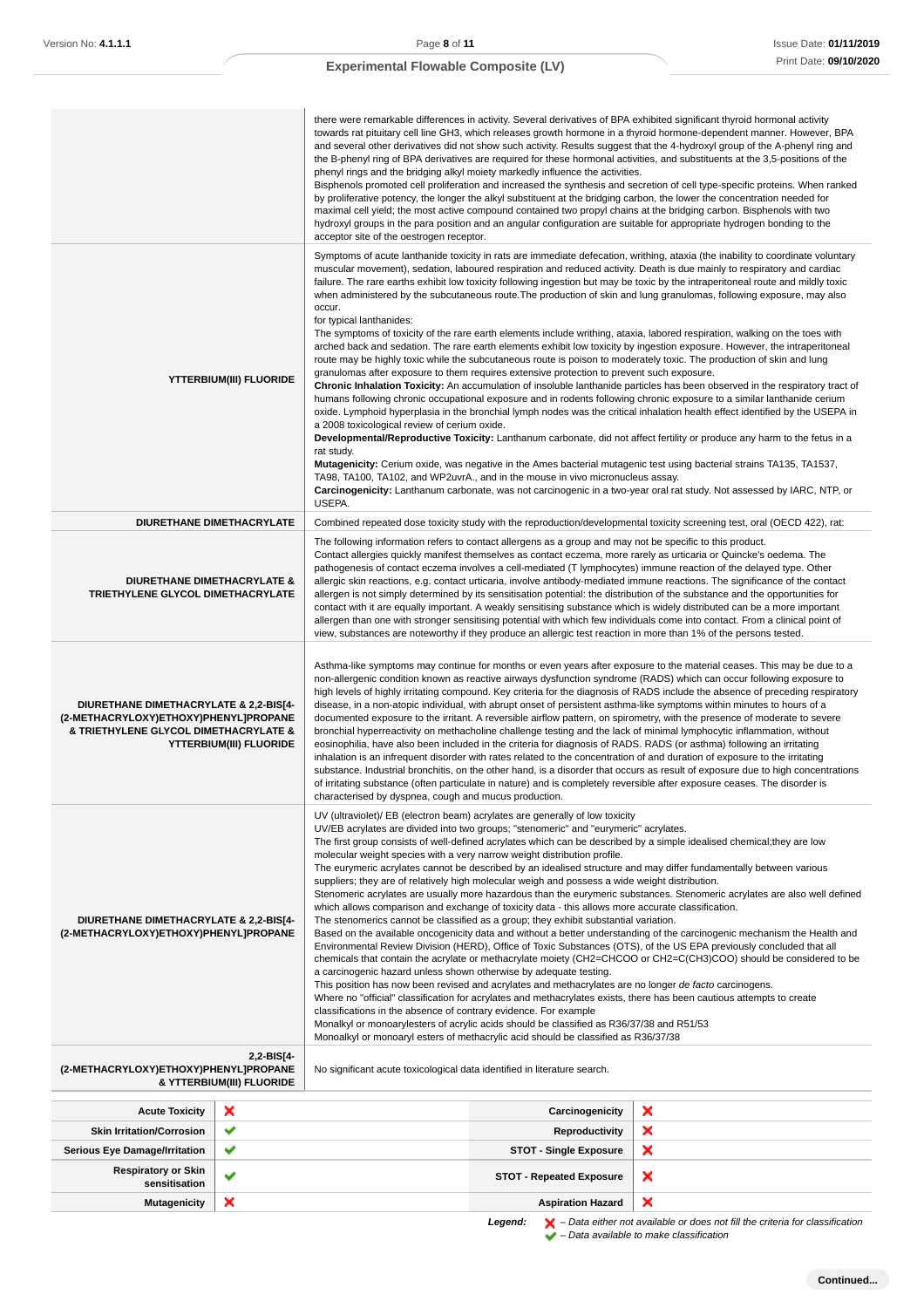| Version No: <b>4.1.1.1</b>                                                                                                                                 |                                         | Page 8 of 11                                                                                                                                                                                                                                                                                                                                                                                                                                                                                                                                                                                                                                                                                                                                                                                                                                                                                                                                                                                                                                                                                                                                                                                                                                                                                                                                                                                                                                                                                                                                                                                                                                                                                                                                                                                                                                                        |                                                                                                                                                                             | <b>Issue Date: 01/11/20</b>                                                                                                                                                                                                                                                                                                                                                                                                                                                                                                                                                                                                                                                                                                                                                                                                                                                                                                                                                                                                                                                                                                                                                                                                                                                                                                                                                                                                                                                                                                                                                                                                                                                                           |
|------------------------------------------------------------------------------------------------------------------------------------------------------------|-----------------------------------------|---------------------------------------------------------------------------------------------------------------------------------------------------------------------------------------------------------------------------------------------------------------------------------------------------------------------------------------------------------------------------------------------------------------------------------------------------------------------------------------------------------------------------------------------------------------------------------------------------------------------------------------------------------------------------------------------------------------------------------------------------------------------------------------------------------------------------------------------------------------------------------------------------------------------------------------------------------------------------------------------------------------------------------------------------------------------------------------------------------------------------------------------------------------------------------------------------------------------------------------------------------------------------------------------------------------------------------------------------------------------------------------------------------------------------------------------------------------------------------------------------------------------------------------------------------------------------------------------------------------------------------------------------------------------------------------------------------------------------------------------------------------------------------------------------------------------------------------------------------------------|-----------------------------------------------------------------------------------------------------------------------------------------------------------------------------|-------------------------------------------------------------------------------------------------------------------------------------------------------------------------------------------------------------------------------------------------------------------------------------------------------------------------------------------------------------------------------------------------------------------------------------------------------------------------------------------------------------------------------------------------------------------------------------------------------------------------------------------------------------------------------------------------------------------------------------------------------------------------------------------------------------------------------------------------------------------------------------------------------------------------------------------------------------------------------------------------------------------------------------------------------------------------------------------------------------------------------------------------------------------------------------------------------------------------------------------------------------------------------------------------------------------------------------------------------------------------------------------------------------------------------------------------------------------------------------------------------------------------------------------------------------------------------------------------------------------------------------------------------------------------------------------------------|
|                                                                                                                                                            |                                         | <b>Experimental Flowable Composite (LV)</b>                                                                                                                                                                                                                                                                                                                                                                                                                                                                                                                                                                                                                                                                                                                                                                                                                                                                                                                                                                                                                                                                                                                                                                                                                                                                                                                                                                                                                                                                                                                                                                                                                                                                                                                                                                                                                         |                                                                                                                                                                             | Print Date: 09/10/20                                                                                                                                                                                                                                                                                                                                                                                                                                                                                                                                                                                                                                                                                                                                                                                                                                                                                                                                                                                                                                                                                                                                                                                                                                                                                                                                                                                                                                                                                                                                                                                                                                                                                  |
|                                                                                                                                                            |                                         |                                                                                                                                                                                                                                                                                                                                                                                                                                                                                                                                                                                                                                                                                                                                                                                                                                                                                                                                                                                                                                                                                                                                                                                                                                                                                                                                                                                                                                                                                                                                                                                                                                                                                                                                                                                                                                                                     |                                                                                                                                                                             |                                                                                                                                                                                                                                                                                                                                                                                                                                                                                                                                                                                                                                                                                                                                                                                                                                                                                                                                                                                                                                                                                                                                                                                                                                                                                                                                                                                                                                                                                                                                                                                                                                                                                                       |
|                                                                                                                                                            |                                         | acceptor site of the oestrogen receptor.                                                                                                                                                                                                                                                                                                                                                                                                                                                                                                                                                                                                                                                                                                                                                                                                                                                                                                                                                                                                                                                                                                                                                                                                                                                                                                                                                                                                                                                                                                                                                                                                                                                                                                                                                                                                                            | phenyl rings and the bridging alkyl moiety markedly influence the activities.                                                                                               | there were remarkable differences in activity. Several derivatives of BPA exhibited significant thyroid hormonal activity<br>towards rat pituitary cell line GH3, which releases growth hormone in a thyroid hormone-dependent manner. However, BPA<br>and several other derivatives did not show such activity. Results suggest that the 4-hydroxyl group of the A-phenyl ring and<br>the B-phenyl ring of BPA derivatives are required for these hormonal activities, and substituents at the 3,5-positions of the<br>Bisphenols promoted cell proliferation and increased the synthesis and secretion of cell type-specific proteins. When ranked<br>by proliferative potency, the longer the alkyl substituent at the bridging carbon, the lower the concentration needed for<br>maximal cell yield; the most active compound contained two propyl chains at the bridging carbon. Bisphenols with two<br>hydroxyl groups in the para position and an angular configuration are suitable for appropriate hydrogen bonding to the                                                                                                                                                                                                                                                                                                                                                                                                                                                                                                                                                                                                                                                                   |
|                                                                                                                                                            | YTTERBIUM(III) FLUORIDE                 | occur.<br>for typical lanthanides:<br>a 2008 toxicological review of cerium oxide.<br>rat study.<br>USEPA.                                                                                                                                                                                                                                                                                                                                                                                                                                                                                                                                                                                                                                                                                                                                                                                                                                                                                                                                                                                                                                                                                                                                                                                                                                                                                                                                                                                                                                                                                                                                                                                                                                                                                                                                                          | granulomas after exposure to them requires extensive protection to prevent such exposure.<br>TA98, TA100, TA102, and WP2uvrA., and in the mouse in vivo micronucleus assay. | Symptoms of acute lanthanide toxicity in rats are immediate defecation, writhing, ataxia (the inability to coordinate voluntary<br>muscular movement), sedation, laboured respiration and reduced activity. Death is due mainly to respiratory and cardiac<br>failure. The rare earths exhibit low toxicity following ingestion but may be toxic by the intraperitoneal route and mildly toxic<br>when administered by the subcutaneous route. The production of skin and lung granulomas, following exposure, may also<br>The symptoms of toxicity of the rare earth elements include writhing, ataxia, labored respiration, walking on the toes with<br>arched back and sedation. The rare earth elements exhibit low toxicity by ingestion exposure. However, the intraperitoneal<br>route may be highly toxic while the subcutaneous route is poison to moderately toxic. The production of skin and lung<br><b>Chronic Inhalation Toxicity:</b> An accumulation of insoluble lanthanide particles has been observed in the respiratory tract of<br>humans following chronic occupational exposure and in rodents following chronic exposure to a similar lanthanide cerium<br>oxide. Lymphoid hyperplasia in the bronchial lymph nodes was the critical inhalation health effect identified by the USEPA in<br>Developmental/Reproductive Toxicity: Lanthanum carbonate, did not affect fertility or produce any harm to the fetus in a<br><b>Mutagenicity:</b> Cerium oxide, was negative in the Ames bacterial mutagenic test using bacterial strains TA135, TA1537,<br>Carcinogenicity: Lanthanum carbonate, was not carcinogenic in a two-year oral rat study. Not assessed by IARC, NTP, or |
|                                                                                                                                                            | DIURETHANE DIMETHACRYLATE               |                                                                                                                                                                                                                                                                                                                                                                                                                                                                                                                                                                                                                                                                                                                                                                                                                                                                                                                                                                                                                                                                                                                                                                                                                                                                                                                                                                                                                                                                                                                                                                                                                                                                                                                                                                                                                                                                     |                                                                                                                                                                             | Combined repeated dose toxicity study with the reproduction/developmental toxicity screening test, oral (OECD 422), rat:                                                                                                                                                                                                                                                                                                                                                                                                                                                                                                                                                                                                                                                                                                                                                                                                                                                                                                                                                                                                                                                                                                                                                                                                                                                                                                                                                                                                                                                                                                                                                                              |
| DIURETHANE DIMETHACRYLATE &<br>TRIETHYLENE GLYCOL DIMETHACRYLATE                                                                                           |                                         | The following information refers to contact allergens as a group and may not be specific to this product.<br>Contact allergies quickly manifest themselves as contact eczema, more rarely as urticaria or Quincke's oedema. The<br>pathogenesis of contact eczema involves a cell-mediated (T lymphocytes) immune reaction of the delayed type. Other<br>allergic skin reactions, e.g. contact urticaria, involve antibody-mediated immune reactions. The significance of the contact<br>allergen is not simply determined by its sensitisation potential: the distribution of the substance and the opportunities for<br>contact with it are equally important. A weakly sensitising substance which is widely distributed can be a more important<br>allergen than one with stronger sensitising potential with which few individuals come into contact. From a clinical point of<br>view, substances are noteworthy if they produce an allergic test reaction in more than 1% of the persons tested.                                                                                                                                                                                                                                                                                                                                                                                                                                                                                                                                                                                                                                                                                                                                                                                                                                                             |                                                                                                                                                                             |                                                                                                                                                                                                                                                                                                                                                                                                                                                                                                                                                                                                                                                                                                                                                                                                                                                                                                                                                                                                                                                                                                                                                                                                                                                                                                                                                                                                                                                                                                                                                                                                                                                                                                       |
| DIURETHANE DIMETHACRYLATE & 2,2-BIS[4-<br>(2-METHACRYLOXY)ETHOXY)PHENYL]PROPANE<br>& TRIETHYLENE GLYCOL DIMETHACRYLATE &<br><b>YTTERBIUM(III) FLUORIDE</b> |                                         | Asthma-like symptoms may continue for months or even years after exposure to the material ceases. This may be due to a<br>non-allergenic condition known as reactive airways dysfunction syndrome (RADS) which can occur following exposure to<br>high levels of highly irritating compound. Key criteria for the diagnosis of RADS include the absence of preceding respiratory<br>disease, in a non-atopic individual, with abrupt onset of persistent asthma-like symptoms within minutes to hours of a<br>documented exposure to the irritant. A reversible airflow pattern, on spirometry, with the presence of moderate to severe<br>bronchial hyperreactivity on methacholine challenge testing and the lack of minimal lymphocytic inflammation, without<br>eosinophilia, have also been included in the criteria for diagnosis of RADS. RADS (or asthma) following an irritating<br>inhalation is an infrequent disorder with rates related to the concentration of and duration of exposure to the irritating<br>substance. Industrial bronchitis, on the other hand, is a disorder that occurs as result of exposure due to high concentrations<br>of irritating substance (often particulate in nature) and is completely reversible after exposure ceases. The disorder is<br>characterised by dyspnea, cough and mucus production.                                                                                                                                                                                                                                                                                                                                                                                                                                                                                                                    |                                                                                                                                                                             |                                                                                                                                                                                                                                                                                                                                                                                                                                                                                                                                                                                                                                                                                                                                                                                                                                                                                                                                                                                                                                                                                                                                                                                                                                                                                                                                                                                                                                                                                                                                                                                                                                                                                                       |
| DIURETHANE DIMETHACRYLATE & 2,2-BIS[4-<br>(2-METHACRYLOXY)ETHOXY)PHENYLJPROPANE                                                                            |                                         | UV (ultraviolet)/ EB (electron beam) acrylates are generally of low toxicity<br>UV/EB acrylates are divided into two groups; "stenomeric" and "eurymeric" acrylates.<br>The first group consists of well-defined acrylates which can be described by a simple idealised chemical; they are low<br>molecular weight species with a very narrow weight distribution profile.<br>The eurymeric acrylates cannot be described by an idealised structure and may differ fundamentally between various<br>suppliers; they are of relatively high molecular weigh and possess a wide weight distribution.<br>Stenomeric acrylates are usually more hazardous than the eurymeric substances. Stenomeric acrylates are also well defined<br>which allows comparison and exchange of toxicity data - this allows more accurate classification.<br>The stenomerics cannot be classified as a group; they exhibit substantial variation.<br>Based on the available oncogenicity data and without a better understanding of the carcinogenic mechanism the Health and<br>Environmental Review Division (HERD), Office of Toxic Substances (OTS), of the US EPA previously concluded that all<br>chemicals that contain the acrylate or methacrylate moiety (CH2=CHCOO or CH2=C(CH3)COO) should be considered to be<br>a carcinogenic hazard unless shown otherwise by adequate testing.<br>This position has now been revised and acrylates and methacrylates are no longer de facto carcinogens.<br>Where no "official" classification for acrylates and methacrylates exists, there has been cautious attempts to create<br>classifications in the absence of contrary evidence. For example<br>Monalkyl or monoarylesters of acrylic acids should be classified as R36/37/38 and R51/53<br>Monoalkyl or monoaryl esters of methacrylic acid should be classified as R36/37/38 |                                                                                                                                                                             |                                                                                                                                                                                                                                                                                                                                                                                                                                                                                                                                                                                                                                                                                                                                                                                                                                                                                                                                                                                                                                                                                                                                                                                                                                                                                                                                                                                                                                                                                                                                                                                                                                                                                                       |
| (2-METHACRYLOXY)ETHOXY)PHENYL]PROPANE                                                                                                                      | 2,2-BIS[4-<br>& YTTERBIUM(III) FLUORIDE | No significant acute toxicological data identified in literature search.                                                                                                                                                                                                                                                                                                                                                                                                                                                                                                                                                                                                                                                                                                                                                                                                                                                                                                                                                                                                                                                                                                                                                                                                                                                                                                                                                                                                                                                                                                                                                                                                                                                                                                                                                                                            |                                                                                                                                                                             |                                                                                                                                                                                                                                                                                                                                                                                                                                                                                                                                                                                                                                                                                                                                                                                                                                                                                                                                                                                                                                                                                                                                                                                                                                                                                                                                                                                                                                                                                                                                                                                                                                                                                                       |
| <b>Acute Toxicity</b>                                                                                                                                      | ×                                       |                                                                                                                                                                                                                                                                                                                                                                                                                                                                                                                                                                                                                                                                                                                                                                                                                                                                                                                                                                                                                                                                                                                                                                                                                                                                                                                                                                                                                                                                                                                                                                                                                                                                                                                                                                                                                                                                     | Carcinogenicity                                                                                                                                                             | ×                                                                                                                                                                                                                                                                                                                                                                                                                                                                                                                                                                                                                                                                                                                                                                                                                                                                                                                                                                                                                                                                                                                                                                                                                                                                                                                                                                                                                                                                                                                                                                                                                                                                                                     |
| <b>Skin Irritation/Corrosion</b>                                                                                                                           | ✔                                       |                                                                                                                                                                                                                                                                                                                                                                                                                                                                                                                                                                                                                                                                                                                                                                                                                                                                                                                                                                                                                                                                                                                                                                                                                                                                                                                                                                                                                                                                                                                                                                                                                                                                                                                                                                                                                                                                     | <b>Reproductivity</b>                                                                                                                                                       | ×                                                                                                                                                                                                                                                                                                                                                                                                                                                                                                                                                                                                                                                                                                                                                                                                                                                                                                                                                                                                                                                                                                                                                                                                                                                                                                                                                                                                                                                                                                                                                                                                                                                                                                     |
| <b>Serious Eye Damage/Irritation</b>                                                                                                                       | ✔                                       |                                                                                                                                                                                                                                                                                                                                                                                                                                                                                                                                                                                                                                                                                                                                                                                                                                                                                                                                                                                                                                                                                                                                                                                                                                                                                                                                                                                                                                                                                                                                                                                                                                                                                                                                                                                                                                                                     | <b>STOT - Single Exposure</b>                                                                                                                                               | ×                                                                                                                                                                                                                                                                                                                                                                                                                                                                                                                                                                                                                                                                                                                                                                                                                                                                                                                                                                                                                                                                                                                                                                                                                                                                                                                                                                                                                                                                                                                                                                                                                                                                                                     |
| <b>Respiratory or Skin</b><br>sensitisation                                                                                                                | ✔                                       |                                                                                                                                                                                                                                                                                                                                                                                                                                                                                                                                                                                                                                                                                                                                                                                                                                                                                                                                                                                                                                                                                                                                                                                                                                                                                                                                                                                                                                                                                                                                                                                                                                                                                                                                                                                                                                                                     | <b>STOT - Repeated Exposure</b>                                                                                                                                             | ×                                                                                                                                                                                                                                                                                                                                                                                                                                                                                                                                                                                                                                                                                                                                                                                                                                                                                                                                                                                                                                                                                                                                                                                                                                                                                                                                                                                                                                                                                                                                                                                                                                                                                                     |
| <b>Mutagenicity</b>                                                                                                                                        | ×                                       |                                                                                                                                                                                                                                                                                                                                                                                                                                                                                                                                                                                                                                                                                                                                                                                                                                                                                                                                                                                                                                                                                                                                                                                                                                                                                                                                                                                                                                                                                                                                                                                                                                                                                                                                                                                                                                                                     | <b>Aspiration Hazard</b>                                                                                                                                                    | ×                                                                                                                                                                                                                                                                                                                                                                                                                                                                                                                                                                                                                                                                                                                                                                                                                                                                                                                                                                                                                                                                                                                                                                                                                                                                                                                                                                                                                                                                                                                                                                                                                                                                                                     |

| v |  |
|---|--|

**Legend:**  $\mathbf{X}$  – Data either not available or does not fill the criteria for classification

– Data available to make classification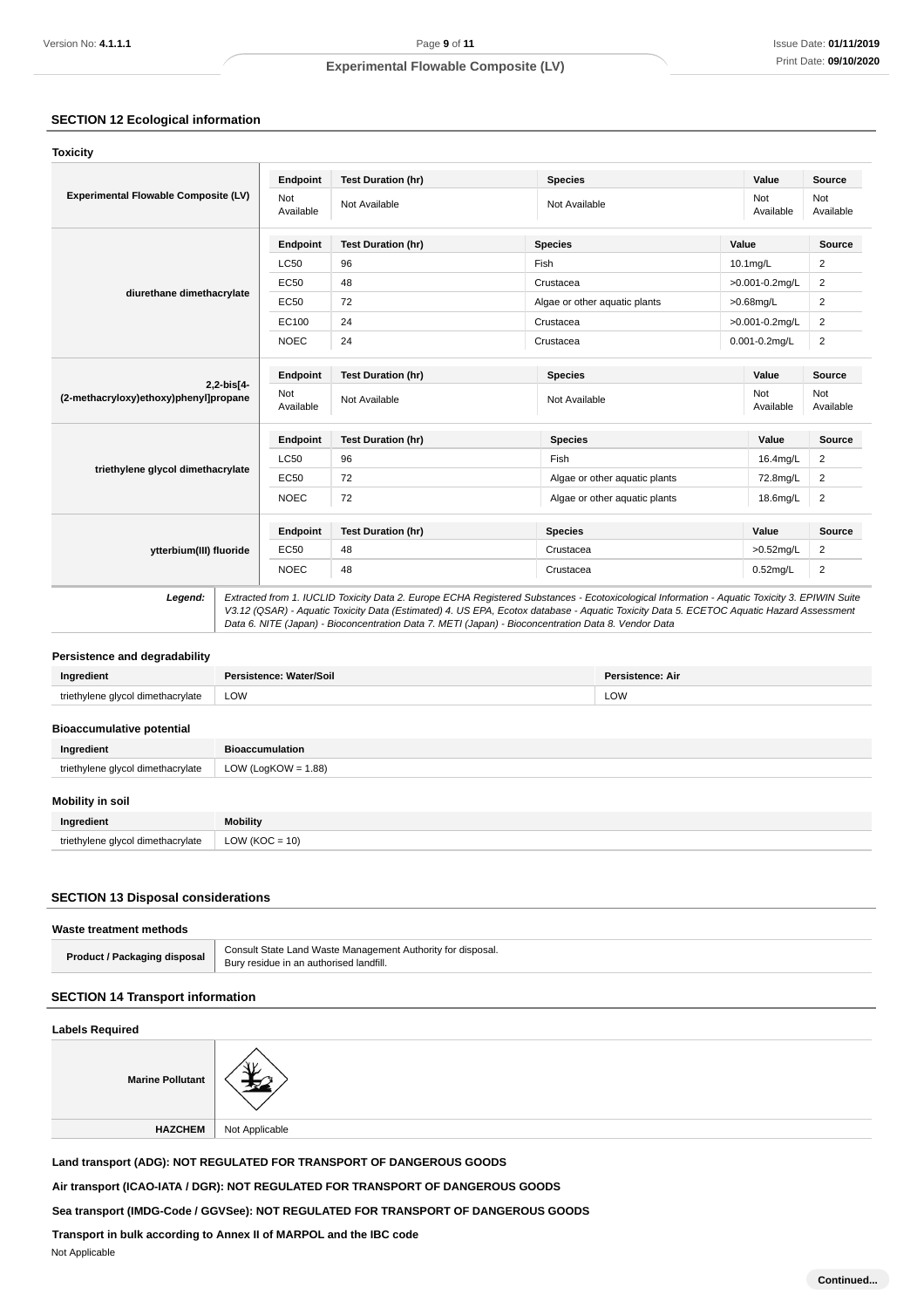## **SECTION 12 Ecological information**

| Endpoint         | <b>Test Duration (hr)</b>                                                                                                                                                                        | <b>Species</b>                    | Value              | Source           |
|------------------|--------------------------------------------------------------------------------------------------------------------------------------------------------------------------------------------------|-----------------------------------|--------------------|------------------|
| Not<br>Available | Not Available                                                                                                                                                                                    | Not<br>Not Available<br>Available |                    | Not<br>Available |
| Endpoint         | <b>Test Duration (hr)</b>                                                                                                                                                                        | <b>Species</b>                    | Value              | Source           |
| <b>LC50</b>      | 96                                                                                                                                                                                               | Fish                              | 10.1mg/L           | $\overline{2}$   |
| EC50             | 48                                                                                                                                                                                               | Crustacea                         | >0.001-0.2mg/L     | $\overline{2}$   |
| EC50             | 72                                                                                                                                                                                               | Algae or other aquatic plants     | $>0.68$ mg/L       | $\overline{2}$   |
| EC100            | 24                                                                                                                                                                                               | Crustacea                         | >0.001-0.2mg/L     | $\overline{2}$   |
| <b>NOEC</b>      | 24                                                                                                                                                                                               | Crustacea                         | $0.001 - 0.2$ mg/L |                  |
| Endpoint         | <b>Test Duration (hr)</b>                                                                                                                                                                        | <b>Species</b><br>Value           |                    | Source           |
| Not<br>Available | Not Available                                                                                                                                                                                    | Not Available                     | Not<br>Available   | Not<br>Available |
| Endpoint         | <b>Test Duration (hr)</b>                                                                                                                                                                        | Value<br><b>Species</b>           |                    | <b>Source</b>    |
| <b>LC50</b>      | 96                                                                                                                                                                                               | Fish                              | 16.4mg/L           | $\overline{2}$   |
| EC50             | 72                                                                                                                                                                                               | Algae or other aquatic plants     | 72.8mg/L           |                  |
| <b>NOEC</b>      | 72                                                                                                                                                                                               | Algae or other aquatic plants     | 18.6mg/L           |                  |
| Endpoint         | <b>Test Duration (hr)</b>                                                                                                                                                                        | <b>Species</b>                    | Value              | Source           |
| EC50             | 48                                                                                                                                                                                               | Crustacea                         | $>0.52$ mg/L       | 2                |
| <b>NOEC</b>      | 48                                                                                                                                                                                               | Crustacea                         | $0.52$ mg/L        | $\overline{c}$   |
|                  | Experimental Flowable Composite (LV)<br>diurethane dimethacrylate<br>$2, 2 - bits [4 -$<br>(2-methacryloxy)ethoxy)phenyl]propane<br>triethylene glycol dimethacrylate<br>ytterbium(III) fluoride |                                   |                    |                  |

## **Persistence and degradability**

|                 | ioll | All |
|-----------------|------|-----|
| dim<br>$\cdots$ | LOW  | LOW |

### **Bioaccumulative potential**

| Ingredient                        | <b>Bioaccumulation</b> |
|-----------------------------------|------------------------|
| triethylene glycol dimethacrylate | LOW (LogKOW = $1.88$ ) |
| <b>Mobility in soil</b>           |                        |
| Ingredient                        | <b>Mobility</b>        |

# **SECTION 13 Disposal considerations**

triethylene glycol dimethacrylate  $\vert$  LOW (KOC = 10)

| Waste treatment methods      |                                                                                                        |
|------------------------------|--------------------------------------------------------------------------------------------------------|
| Product / Packaging disposal | Consult State Land Waste Management Authority for disposal.<br>Bury residue in an authorised landfill. |

### **SECTION 14 Transport information**

### **Labels Required**



**Land transport (ADG): NOT REGULATED FOR TRANSPORT OF DANGEROUS GOODS**

**Air transport (ICAO-IATA / DGR): NOT REGULATED FOR TRANSPORT OF DANGEROUS GOODS**

**Sea transport (IMDG-Code / GGVSee): NOT REGULATED FOR TRANSPORT OF DANGEROUS GOODS**

**Transport in bulk according to Annex II of MARPOL and the IBC code**

Not Applicable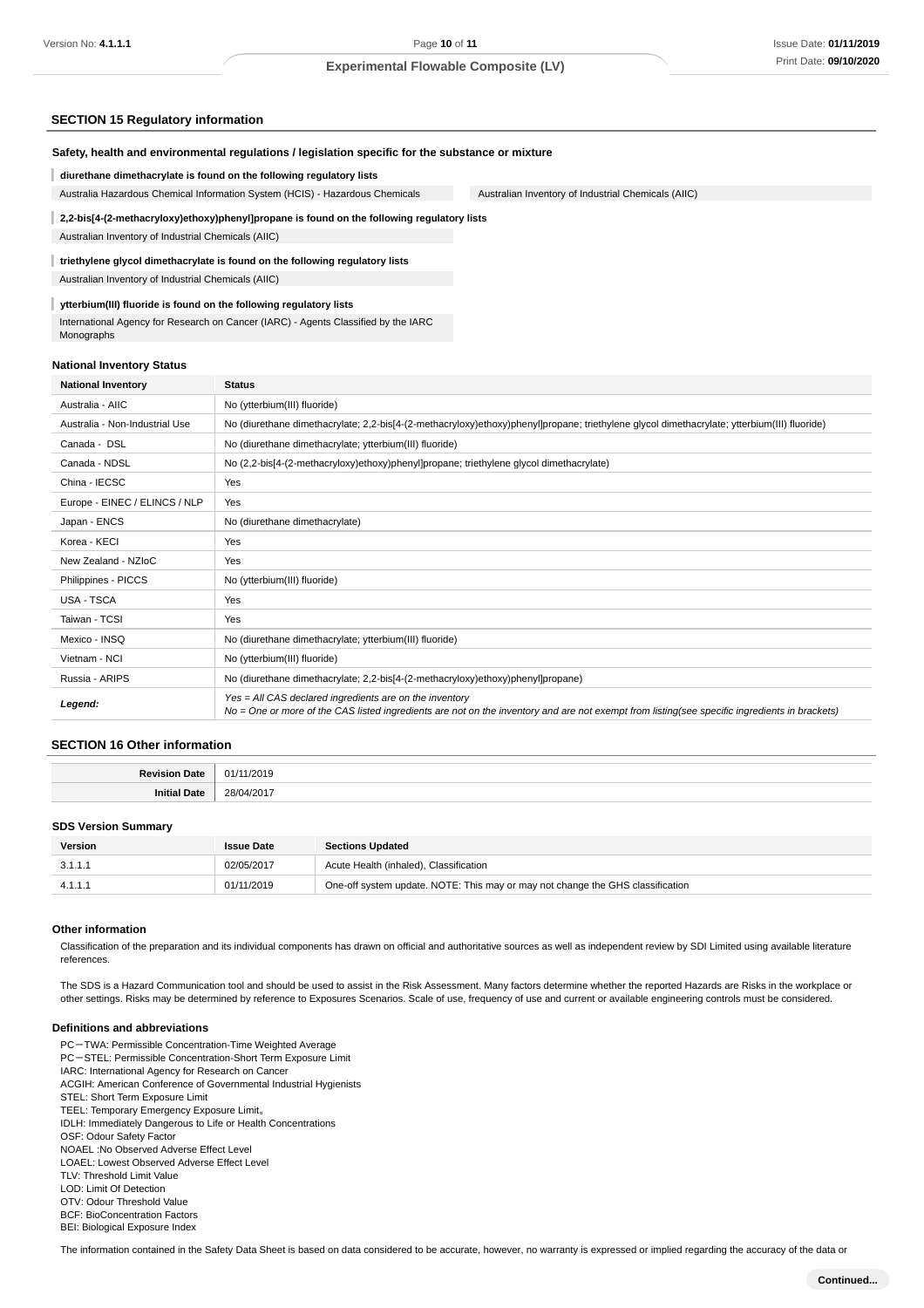### **SECTION 15 Regulatory information**

| Safety, health and environmental regulations / legislation specific for the substance or mixture |  |
|--------------------------------------------------------------------------------------------------|--|
|                                                                                                  |  |

**diurethane dimethacrylate is found on the following regulatory lists**

Australia Hazardous Chemical Information System (HCIS) - Hazardous Chemicals Australian Inventory of Industrial Chemicals (AIIC)

### **2,2-bis[4-(2-methacryloxy)ethoxy)phenyl]propane is found on the following regulatory lists** Australian Inventory of Industrial Chemicals (AIIC)

## **triethylene glycol dimethacrylate is found on the following regulatory lists**

Australian Inventory of Industrial Chemicals (AIIC)

### **ytterbium(III) fluoride is found on the following regulatory lists**

International Agency for Research on Cancer (IARC) - Agents Classified by the IARC Monographs

### **National Inventory Status**

| <b>National Inventory</b>      | <b>Status</b>                                                                                                                                                                                              |  |  |
|--------------------------------|------------------------------------------------------------------------------------------------------------------------------------------------------------------------------------------------------------|--|--|
| Australia - AIIC               | No (ytterbium(III) fluoride)                                                                                                                                                                               |  |  |
| Australia - Non-Industrial Use | No (diurethane dimethacrylate; 2,2-bis[4-(2-methacryloxy)ethoxy)phenyl]propane; triethylene glycol dimethacrylate; ytterbium(III) fluoride)                                                                |  |  |
| Canada - DSL                   | No (diurethane dimethacrylate; ytterbium(III) fluoride)                                                                                                                                                    |  |  |
| Canada - NDSL                  | No (2,2-bis[4-(2-methacryloxy)ethoxy)phenyl]propane; triethylene glycol dimethacrylate)                                                                                                                    |  |  |
| China - IECSC                  | Yes                                                                                                                                                                                                        |  |  |
| Europe - EINEC / ELINCS / NLP  | Yes                                                                                                                                                                                                        |  |  |
| Japan - ENCS                   | No (diurethane dimethacrylate)                                                                                                                                                                             |  |  |
| Korea - KECI                   | Yes                                                                                                                                                                                                        |  |  |
| New Zealand - NZIoC            | Yes                                                                                                                                                                                                        |  |  |
| Philippines - PICCS            | No (ytterbium(III) fluoride)                                                                                                                                                                               |  |  |
| USA - TSCA                     | Yes                                                                                                                                                                                                        |  |  |
| Taiwan - TCSI                  | Yes                                                                                                                                                                                                        |  |  |
| Mexico - INSQ                  | No (diurethane dimethacrylate; ytterbium(III) fluoride)                                                                                                                                                    |  |  |
| Vietnam - NCI                  | No (ytterbium(III) fluoride)                                                                                                                                                                               |  |  |
| Russia - ARIPS                 | No (diurethane dimethacrylate; 2,2-bis[4-(2-methacryloxy)ethoxy)phenyl]propane)                                                                                                                            |  |  |
| Legend:                        | $Yes = All CAS declared ingredients are on the inventory$<br>No = One or more of the CAS listed ingredients are not on the inventory and are not exempt from listing(see specific ingredients in brackets) |  |  |

### **SECTION 16 Other information**

| .<br>. |
|--------|
| .<br>. |

#### **SDS Version Summary**

| Version | <b>Issue Date</b> | <b>Sections Updated</b>                                                        |
|---------|-------------------|--------------------------------------------------------------------------------|
| 3.1.1.1 | 02/05/2017        | Acute Health (inhaled), Classification                                         |
| 4.1.1.1 | 01/11/2019        | One-off system update. NOTE: This may or may not change the GHS classification |

#### **Other information**

Classification of the preparation and its individual components has drawn on official and authoritative sources as well as independent review by SDI Limited using available literature references.

The SDS is a Hazard Communication tool and should be used to assist in the Risk Assessment. Many factors determine whether the reported Hazards are Risks in the workplace or other settings. Risks may be determined by reference to Exposures Scenarios. Scale of use, frequency of use and current or available engineering controls must be considered.

#### **Definitions and abbreviations**

PC-TWA: Permissible Concentration-Time Weighted Average PC-STEL: Permissible Concentration-Short Term Exposure Limit IARC: International Agency for Research on Cancer ACGIH: American Conference of Governmental Industrial Hygienists STEL: Short Term Exposure Limit TEEL: Temporary Emergency Exposure Limit。 IDLH: Immediately Dangerous to Life or Health Concentrations OSF: Odour Safety Factor NOAEL :No Observed Adverse Effect Level LOAEL: Lowest Observed Adverse Effect Level TLV: Threshold Limit Value LOD: Limit Of Detection OTV: Odour Threshold Value BCF: BioConcentration Factors BEI: Biological Exposure Index

The information contained in the Safety Data Sheet is based on data considered to be accurate, however, no warranty is expressed or implied regarding the accuracy of the data or